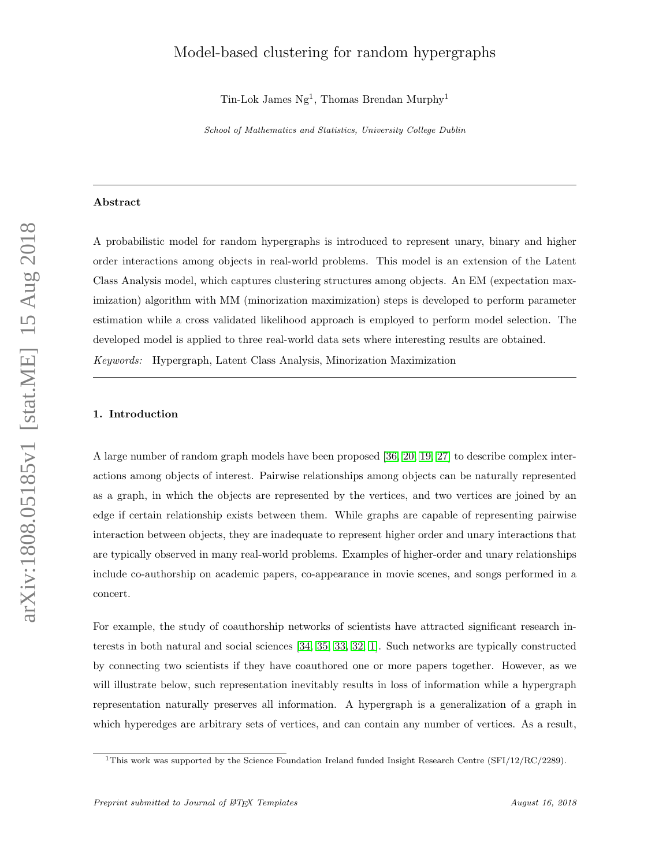$T$ in-Lok James Ng<sup>1</sup>, Thomas Brendan Murphy<sup>1</sup>

School of Mathematics and Statistics, University College Dublin

#### <span id="page-0-0"></span>Abstract

A probabilistic model for random hypergraphs is introduced to represent unary, binary and higher order interactions among objects in real-world problems. This model is an extension of the Latent Class Analysis model, which captures clustering structures among objects. An EM (expectation maximization) algorithm with MM (minorization maximization) steps is developed to perform parameter estimation while a cross validated likelihood approach is employed to perform model selection. The developed model is applied to three real-world data sets where interesting results are obtained. Keywords: Hypergraph, Latent Class Analysis, Minorization Maximization

## 1. Introduction

A large number of random graph models have been proposed [\[36,](#page-19-0) [20,](#page-18-0) [19,](#page-18-1) [27\]](#page-19-1) to describe complex interactions among objects of interest. Pairwise relationships among objects can be naturally represented as a graph, in which the objects are represented by the vertices, and two vertices are joined by an edge if certain relationship exists between them. While graphs are capable of representing pairwise interaction between objects, they are inadequate to represent higher order and unary interactions that are typically observed in many real-world problems. Examples of higher-order and unary relationships include co-authorship on academic papers, co-appearance in movie scenes, and songs performed in a concert.

For example, the study of coauthorship networks of scientists have attracted significant research interests in both natural and social sciences [\[34,](#page-19-2) [35,](#page-19-3) [33,](#page-19-4) [32,](#page-19-5) [1\]](#page-17-0). Such networks are typically constructed by connecting two scientists if they have coauthored one or more papers together. However, as we will illustrate below, such representation inevitably results in loss of information while a hypergraph representation naturally preserves all information. A hypergraph is a generalization of a graph in which hyperedges are arbitrary sets of vertices, and can contain any number of vertices. As a result,

<sup>&</sup>lt;sup>1</sup>This work was supported by the Science Foundation Ireland funded Insight Research Centre (SFI/12/RC/2289).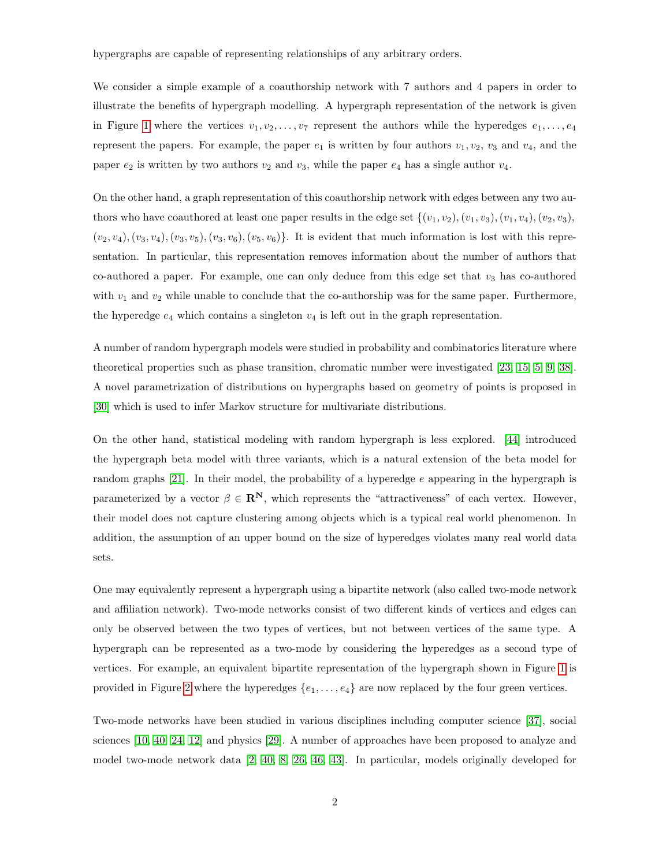hypergraphs are capable of representing relationships of any arbitrary orders.

We consider a simple example of a coauthorship network with 7 authors and 4 papers in order to illustrate the benefits of hypergraph modelling. A hypergraph representation of the network is given in Figure [1](#page-2-0) where the vertices  $v_1, v_2, \ldots, v_7$  represent the authors while the hyperedges  $e_1, \ldots, e_4$ represent the papers. For example, the paper  $e_1$  is written by four authors  $v_1, v_2, v_3$  and  $v_4$ , and the paper  $e_2$  is written by two authors  $v_2$  and  $v_3$ , while the paper  $e_4$  has a single author  $v_4$ .

On the other hand, a graph representation of this coauthorship network with edges between any two authors who have coauthored at least one paper results in the edge set  $\{(v_1, v_2), (v_1, v_3), (v_1, v_4), (v_2, v_3),$  $(v_2, v_4), (v_3, v_4), (v_3, v_5), (v_3, v_6), (v_5, v_6)\}.$  It is evident that much information is lost with this representation. In particular, this representation removes information about the number of authors that co-authored a paper. For example, one can only deduce from this edge set that  $v_3$  has co-authored with  $v_1$  and  $v_2$  while unable to conclude that the co-authorship was for the same paper. Furthermore, the hyperedge  $e_4$  which contains a singleton  $v_4$  is left out in the graph representation.

A number of random hypergraph models were studied in probability and combinatorics literature where theoretical properties such as phase transition, chromatic number were investigated [\[23,](#page-19-6) [15,](#page-18-2) [5,](#page-17-1) [9,](#page-18-3) [38\]](#page-20-0). A novel parametrization of distributions on hypergraphs based on geometry of points is proposed in [\[30\]](#page-19-7) which is used to infer Markov structure for multivariate distributions.

On the other hand, statistical modeling with random hypergraph is less explored. [\[44\]](#page-20-1) introduced the hypergraph beta model with three variants, which is a natural extension of the beta model for random graphs  $[21]$ . In their model, the probability of a hyperedge e appearing in the hypergraph is parameterized by a vector  $\beta \in \mathbb{R}^N$ , which represents the "attractiveness" of each vertex. However, their model does not capture clustering among objects which is a typical real world phenomenon. In addition, the assumption of an upper bound on the size of hyperedges violates many real world data sets.

One may equivalently represent a hypergraph using a bipartite network (also called two-mode network and affiliation network). Two-mode networks consist of two different kinds of vertices and edges can only be observed between the two types of vertices, but not between vertices of the same type. A hypergraph can be represented as a two-mode by considering the hyperedges as a second type of vertices. For example, an equivalent bipartite representation of the hypergraph shown in Figure [1](#page-2-0) is provided in Figure [2](#page-3-0) where the hyperedges  $\{e_1, \ldots, e_4\}$  are now replaced by the four green vertices.

Two-mode networks have been studied in various disciplines including computer science [\[37\]](#page-19-8), social sciences [\[10,](#page-18-5) [40,](#page-20-2) [24,](#page-19-9) [12\]](#page-18-6) and physics [\[29\]](#page-19-10). A number of approaches have been proposed to analyze and model two-mode network data [\[2,](#page-17-2) [40,](#page-20-2) [8,](#page-17-3) [26,](#page-19-11) [46,](#page-20-3) [43\]](#page-20-4). In particular, models originally developed for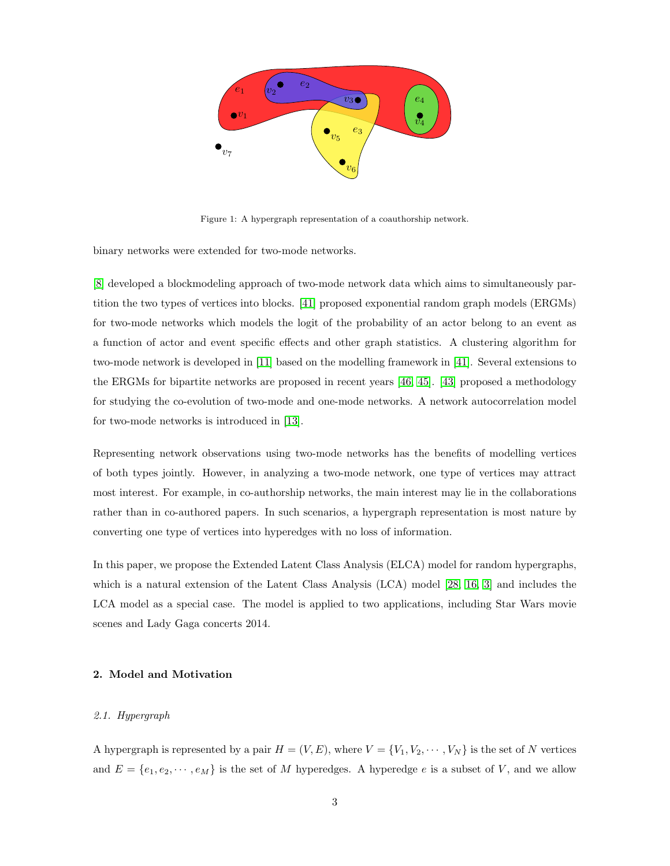

<span id="page-2-0"></span>Figure 1: A hypergraph representation of a coauthorship network.

binary networks were extended for two-mode networks.

[\[8\]](#page-17-3) developed a blockmodeling approach of two-mode network data which aims to simultaneously partition the two types of vertices into blocks. [\[41\]](#page-20-5) proposed exponential random graph models (ERGMs) for two-mode networks which models the logit of the probability of an actor belong to an event as a function of actor and event specific effects and other graph statistics. A clustering algorithm for two-mode network is developed in [\[11\]](#page-18-7) based on the modelling framework in [\[41\]](#page-20-5). Several extensions to the ERGMs for bipartite networks are proposed in recent years [\[46,](#page-20-3) [45\]](#page-20-6). [\[43\]](#page-20-4) proposed a methodology for studying the co-evolution of two-mode and one-mode networks. A network autocorrelation model for two-mode networks is introduced in [\[13\]](#page-18-8).

Representing network observations using two-mode networks has the benefits of modelling vertices of both types jointly. However, in analyzing a two-mode network, one type of vertices may attract most interest. For example, in co-authorship networks, the main interest may lie in the collaborations rather than in co-authored papers. In such scenarios, a hypergraph representation is most nature by converting one type of vertices into hyperedges with no loss of information.

In this paper, we propose the Extended Latent Class Analysis (ELCA) model for random hypergraphs, which is a natural extension of the Latent Class Analysis (LCA) model [\[28,](#page-19-12) [16,](#page-18-9) [3\]](#page-17-4) and includes the LCA model as a special case. The model is applied to two applications, including Star Wars movie scenes and Lady Gaga concerts 2014.

# 2. Model and Motivation

# 2.1. Hypergraph

A hypergraph is represented by a pair  $H = (V, E)$ , where  $V = \{V_1, V_2, \dots, V_N\}$  is the set of N vertices and  $E = \{e_1, e_2, \dots, e_M\}$  is the set of M hyperedges. A hyperedge e is a subset of V, and we allow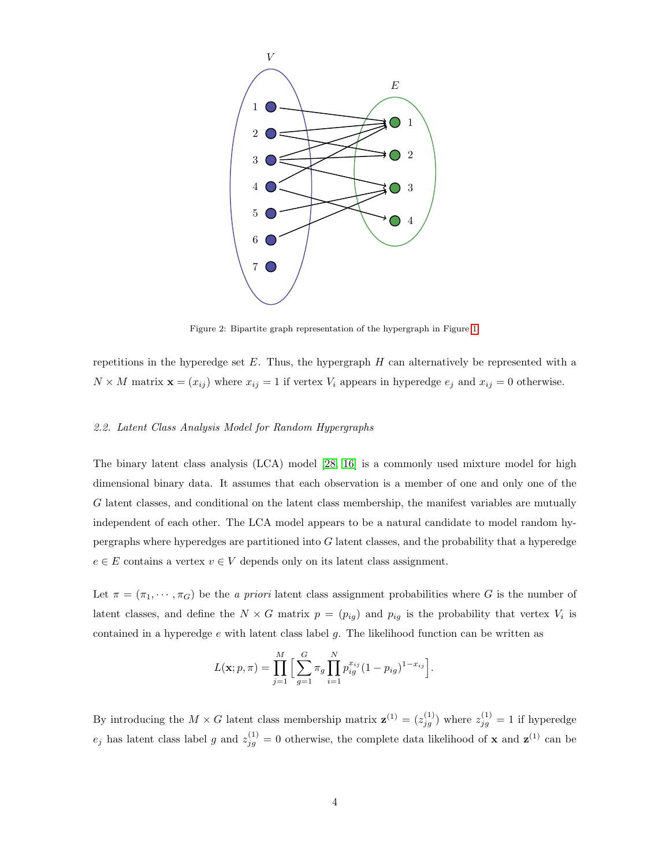

<span id="page-3-0"></span>Figure 2: Bipartite graph representation of the hypergraph in Figure [1.](#page-2-0)

repetitions in the hyperedge set  $E$ . Thus, the hypergraph  $H$  can alternatively be represented with a  $N \times M$  matrix  $\mathbf{x} = (x_{ij})$  where  $x_{ij} = 1$  if vertex  $V_i$  appears in hyperedge  $e_j$  and  $x_{ij} = 0$  otherwise.

# 2.2. Latent Class Analysis Model for Random Hypergraphs

The binary latent class analysis (LCA) model [\[28,](#page-19-12) [16\]](#page-18-9) is a commonly used mixture model for high dimensional binary data. It assumes that each observation is a member of one and only one of the G latent classes, and conditional on the latent class membership, the manifest variables are mutually independent of each other. The LCA model appears to be a natural candidate to model random hypergraphs where hyperedges are partitioned into G latent classes, and the probability that a hyperedge  $e \in E$  contains a vertex  $v \in V$  depends only on its latent class assignment.

Let  $\pi = (\pi_1, \dots, \pi_G)$  be the *a priori* latent class assignment probabilities where G is the number of latent classes, and define the  $N \times G$  matrix  $p = (p_{ig})$  and  $p_{ig}$  is the probability that vertex  $V_i$  is contained in a hyperedge  $e$  with latent class label  $g$ . The likelihood function can be written as

$$
L(\mathbf{x}; p, \pi) = \prod_{j=1}^{M} \Big[ \sum_{g=1}^{G} \pi_g \prod_{i=1}^{N} p_{ig}^{x_{ij}} (1 - p_{ig})^{1 - x_{ij}} \Big].
$$

By introducing the  $M \times G$  latent class membership matrix  $\mathbf{z}^{(1)} = (z_{jg}^{(1)})$  where  $z_{jg}^{(1)} = 1$  if hyperedge  $e_j$  has latent class label g and  $z_{jg}^{(1)} = 0$  otherwise, the complete data likelihood of x and  $z^{(1)}$  can be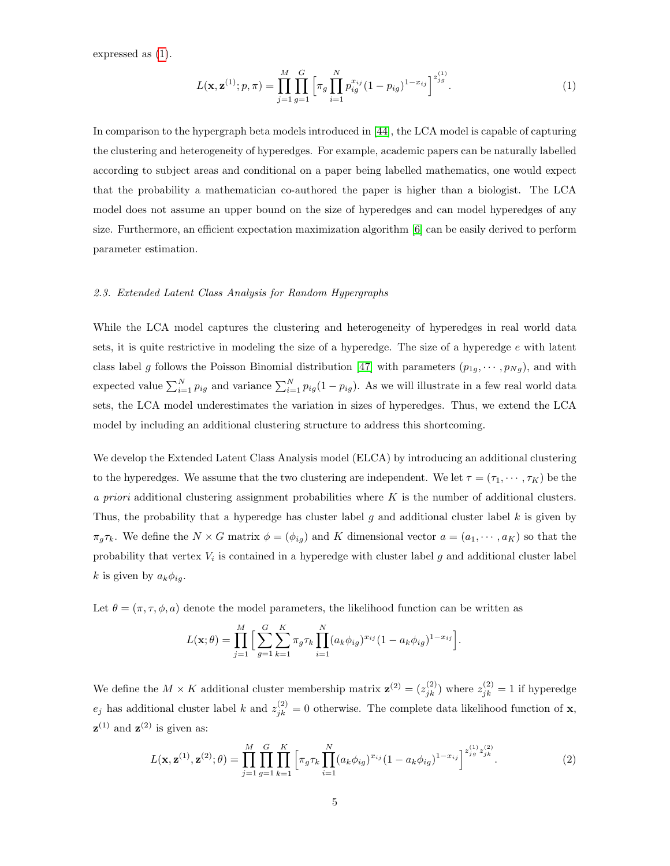expressed as [\(1\)](#page-4-0).

<span id="page-4-0"></span>
$$
L(\mathbf{x}, \mathbf{z}^{(1)}; p, \pi) = \prod_{j=1}^{M} \prod_{g=1}^{G} \left[ \pi_g \prod_{i=1}^{N} p_{ig}^{x_{ij}} (1 - p_{ig})^{1 - x_{ij}} \right]^{z_{jg}^{(1)}}.
$$
 (1)

In comparison to the hypergraph beta models introduced in [\[44\]](#page-20-1), the LCA model is capable of capturing the clustering and heterogeneity of hyperedges. For example, academic papers can be naturally labelled according to subject areas and conditional on a paper being labelled mathematics, one would expect that the probability a mathematician co-authored the paper is higher than a biologist. The LCA model does not assume an upper bound on the size of hyperedges and can model hyperedges of any size. Furthermore, an efficient expectation maximization algorithm [\[6\]](#page-17-5) can be easily derived to perform parameter estimation.

# 2.3. Extended Latent Class Analysis for Random Hypergraphs

While the LCA model captures the clustering and heterogeneity of hyperedges in real world data sets, it is quite restrictive in modeling the size of a hyperedge. The size of a hyperedge e with latent class label g follows the Poisson Binomial distribution [\[47\]](#page-20-7) with parameters  $(p_{1q}, \dots, p_{Nq})$ , and with expected value  $\sum_{i=1}^{N} p_{ig}$  and variance  $\sum_{i=1}^{N} p_{ig}(1-p_{ig})$ . As we will illustrate in a few real world data sets, the LCA model underestimates the variation in sizes of hyperedges. Thus, we extend the LCA model by including an additional clustering structure to address this shortcoming.

We develop the Extended Latent Class Analysis model (ELCA) by introducing an additional clustering to the hyperedges. We assume that the two clustering are independent. We let  $\tau = (\tau_1, \dots, \tau_K)$  be the a priori additional clustering assignment probabilities where  $K$  is the number of additional clusters. Thus, the probability that a hyperedge has cluster label g and additional cluster label  $k$  is given by  $\pi_g \tau_k$ . We define the  $N \times G$  matrix  $\phi = (\phi_{ig})$  and K dimensional vector  $a = (a_1, \dots, a_K)$  so that the probability that vertex  $V_i$  is contained in a hyperedge with cluster label g and additional cluster label k is given by  $a_k \phi_{iq}$ .

Let  $\theta = (\pi, \tau, \phi, a)$  denote the model parameters, the likelihood function can be written as

$$
L(\mathbf{x};\theta) = \prod_{j=1}^{M} \Big[ \sum_{g=1}^{G} \sum_{k=1}^{K} \pi_g \tau_k \prod_{i=1}^{N} (a_k \phi_{ig})^{x_{ij}} (1 - a_k \phi_{ig})^{1 - x_{ij}} \Big].
$$

We define the  $M \times K$  additional cluster membership matrix  $\mathbf{z}^{(2)} = (z_{jk}^{(2)})$  where  $z_{jk}^{(2)} = 1$  if hyperedge  $e_j$  has additional cluster label k and  $z_{jk}^{(2)} = 0$  otherwise. The complete data likelihood function of **x**,  $z^{(1)}$  and  $z^{(2)}$  is given as:

<span id="page-4-1"></span>
$$
L(\mathbf{x}, \mathbf{z}^{(1)}, \mathbf{z}^{(2)}; \theta) = \prod_{j=1}^{M} \prod_{g=1}^{G} \prod_{k=1}^{K} \left[ \pi_g \tau_k \prod_{i=1}^{N} (a_k \phi_{ig})^{x_{ij}} (1 - a_k \phi_{ig})^{1 - x_{ij}} \right]^{z_{j_g}^{(1)} z_{jk}^{(2)}}.
$$
(2)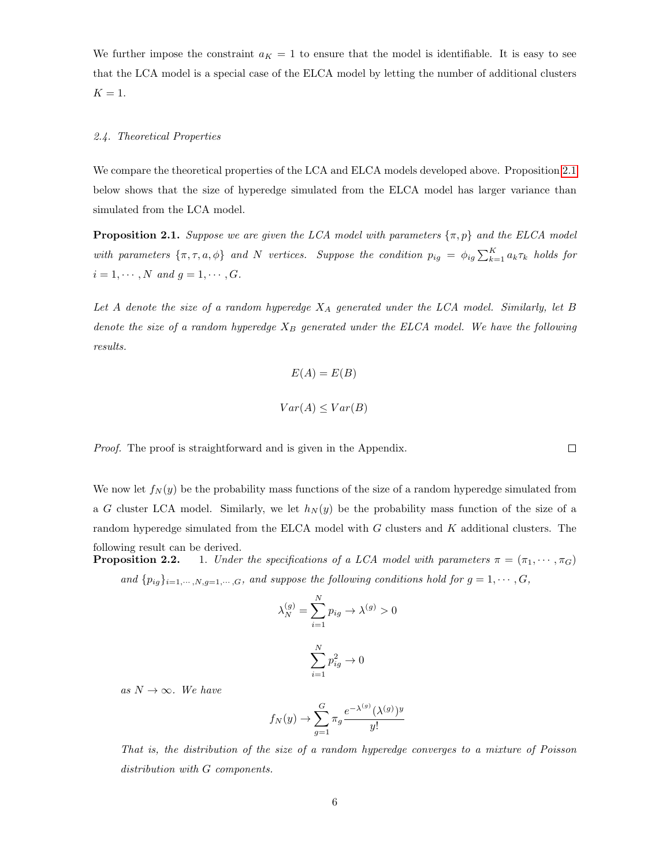We further impose the constraint  $a_K = 1$  to ensure that the model is identifiable. It is easy to see that the LCA model is a special case of the ELCA model by letting the number of additional clusters  $K = 1$ .

#### 2.4. Theoretical Properties

We compare the theoretical properties of the LCA and ELCA models developed above. Proposition [2.1](#page-5-0) below shows that the size of hyperedge simulated from the ELCA model has larger variance than simulated from the LCA model.

<span id="page-5-0"></span>**Proposition 2.1.** Suppose we are given the LCA model with parameters  $\{\pi, p\}$  and the ELCA model with parameters  $\{\pi, \tau, a, \phi\}$  and N vertices. Suppose the condition  $p_{ig} = \phi_{ig} \sum_{k=1}^{K} a_k \tau_k$  holds for  $i = 1, \cdots, N$  and  $g = 1, \cdots, G$ .

Let A denote the size of a random hyperedge  $X_A$  generated under the LCA model. Similarly, let B denote the size of a random hyperedge  $X_B$  generated under the ELCA model. We have the following results.

$$
E(A) = E(B)
$$
  

$$
Var(A) \le Var(B)
$$

Proof. The proof is straightforward and is given in the Appendix.

We now let  $f_N(y)$  be the probability mass functions of the size of a random hyperedge simulated from a G cluster LCA model. Similarly, we let  $h_N(y)$  be the probability mass function of the size of a random hyperedge simulated from the ELCA model with G clusters and K additional clusters. The following result can be derived.

**Proposition 2.2.** 1. Under the specifications of a LCA model with parameters  $\pi = (\pi_1, \dots, \pi_G)$ and  $\{p_{ig}\}_{i=1,\cdots,N,g=1,\cdots,G}$ , and suppose the following conditions hold for  $g=1,\cdots,G$ ,

$$
\lambda_N^{(g)} = \sum_{i=1}^N p_{ig} \to \lambda^{(g)} > 0
$$
  

$$
\sum_{i=1}^N p_{ig}^2 \to 0
$$

 $i=1$ 

as  $N \rightarrow \infty$ . We have

$$
f_N(y) \to \sum_{g=1}^G \pi_g \frac{e^{-\lambda^{(g)}} (\lambda^{(g)})^y}{y!}
$$

That is, the distribution of the size of a random hyperedge converges to a mixture of Poisson distribution with G components.

 $\Box$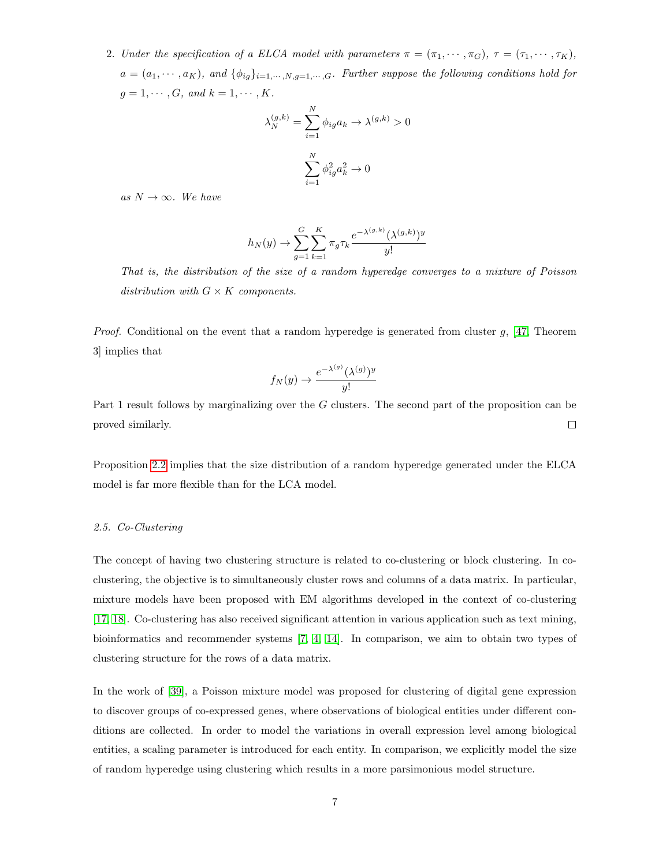2. Under the specification of a ELCA model with parameters  $\pi = (\pi_1, \dots, \pi_G), \tau = (\tau_1, \dots, \tau_K)$ ,  $a = (a_1, \dots, a_K)$ , and  $\{\phi_{ig}\}_{i=1,\dots,N,g=1,\dots,G}$ . Further suppose the following conditions hold for  $g = 1, \cdots, G, \text{ and } k = 1, \cdots, K.$ 

$$
\lambda_N^{(g,k)} = \sum_{i=1}^N \phi_{ig} a_k \to \lambda^{(g,k)} > 0
$$

$$
\sum_{i=1}^N \phi_{ig}^2 a_k^2 \to 0
$$

as  $N \to \infty$ . We have

$$
h_N(y) \to \sum_{g=1}^G \sum_{k=1}^K \pi_g \tau_k \frac{e^{-\lambda^{(g,k)}} (\lambda^{(g,k)})^y}{y!}
$$

That is, the distribution of the size of a random hyperedge converges to a mixture of Poisson distribution with  $G \times K$  components.

*Proof.* Conditional on the event that a random hyperedge is generated from cluster  $g$ , [\[47,](#page-20-7) Theorem 3] implies that

$$
f_N(y) \to \frac{e^{-\lambda^{(g)}}(\lambda^{(g)})^y}{y!}
$$

Part 1 result follows by marginalizing over the G clusters. The second part of the proposition can be proved similarly.  $\Box$ 

Proposition [2.2](#page-0-0) implies that the size distribution of a random hyperedge generated under the ELCA model is far more flexible than for the LCA model.

#### 2.5. Co-Clustering

The concept of having two clustering structure is related to co-clustering or block clustering. In coclustering, the objective is to simultaneously cluster rows and columns of a data matrix. In particular, mixture models have been proposed with EM algorithms developed in the context of co-clustering [\[17,](#page-18-10) [18\]](#page-18-11). Co-clustering has also received significant attention in various application such as text mining, bioinformatics and recommender systems [\[7,](#page-17-6) [4,](#page-17-7) [14\]](#page-18-12). In comparison, we aim to obtain two types of clustering structure for the rows of a data matrix.

In the work of [\[39\]](#page-20-8), a Poisson mixture model was proposed for clustering of digital gene expression to discover groups of co-expressed genes, where observations of biological entities under different conditions are collected. In order to model the variations in overall expression level among biological entities, a scaling parameter is introduced for each entity. In comparison, we explicitly model the size of random hyperedge using clustering which results in a more parsimonious model structure.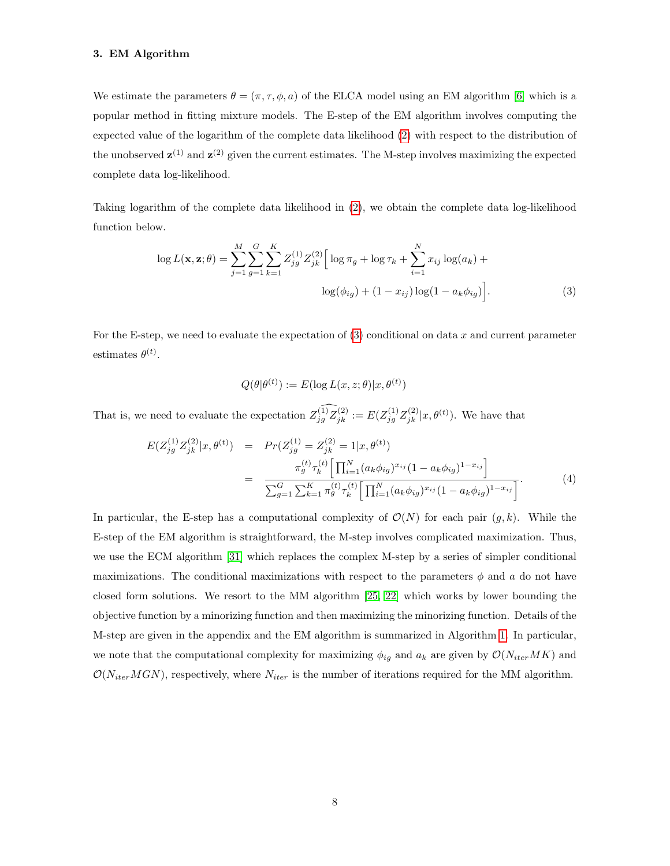## <span id="page-7-2"></span>3. EM Algorithm

We estimate the parameters  $\theta = (\pi, \tau, \phi, a)$  of the ELCA model using an EM algorithm [\[6\]](#page-17-5) which is a popular method in fitting mixture models. The E-step of the EM algorithm involves computing the expected value of the logarithm of the complete data likelihood [\(2\)](#page-4-1) with respect to the distribution of the unobserved  $\mathbf{z}^{(1)}$  and  $\mathbf{z}^{(2)}$  given the current estimates. The M-step involves maximizing the expected complete data log-likelihood.

Taking logarithm of the complete data likelihood in [\(2\)](#page-4-1), we obtain the complete data log-likelihood function below.

<span id="page-7-0"></span>
$$
\log L(\mathbf{x}, \mathbf{z}; \theta) = \sum_{j=1}^{M} \sum_{g=1}^{G} \sum_{k=1}^{K} Z_{jg}^{(1)} Z_{jk}^{(2)} \Big[ \log \pi_g + \log \tau_k + \sum_{i=1}^{N} x_{ij} \log(a_k) + \log(b_i \log(a_j)) \Big] \Big].
$$
\n
$$
\log(\phi_{ig}) + (1 - x_{ij}) \log(1 - a_k \phi_{ig}) \Big].
$$
\n(3)

For the E-step, we need to evaluate the expectation of  $(3)$  conditional on data x and current parameter estimates  $\theta^{(t)}$ .

$$
Q(\theta | \theta^{(t)}) := E(\log L(x, z; \theta) | x, \theta^{(t)})
$$

That is, we need to evaluate the expectation  $Z_{jg}^{(1)}Z_{jk}^{(2)} := E(Z_{jg}^{(1)}Z_{jk}^{(2)}|x,\theta^{(t)})$ . We have that

<span id="page-7-1"></span>
$$
E(Z_{jg}^{(1)} Z_{jk}^{(2)} | x, \theta^{(t)}) = Pr(Z_{jg}^{(1)} = Z_{jk}^{(2)} = 1 | x, \theta^{(t)})
$$
  

$$
= \frac{\pi_g^{(t)} \tau_k^{(t)} \left[ \prod_{i=1}^N (a_k \phi_{ig})^{x_{ij}} (1 - a_k \phi_{ig})^{1 - x_{ij}} \right]}{\sum_{g=1}^G \sum_{k=1}^K \pi_g^{(t)} \tau_k^{(t)} \left[ \prod_{i=1}^N (a_k \phi_{ig})^{x_{ij}} (1 - a_k \phi_{ig})^{1 - x_{ij}} \right]}.
$$
(4)

In particular, the E-step has a computational complexity of  $\mathcal{O}(N)$  for each pair  $(q, k)$ . While the E-step of the EM algorithm is straightforward, the M-step involves complicated maximization. Thus, we use the ECM algorithm [\[31\]](#page-19-13) which replaces the complex M-step by a series of simpler conditional maximizations. The conditional maximizations with respect to the parameters  $\phi$  and a do not have closed form solutions. We resort to the MM algorithm [\[25,](#page-19-14) [22\]](#page-18-13) which works by lower bounding the objective function by a minorizing function and then maximizing the minorizing function. Details of the M-step are given in the appendix and the EM algorithm is summarized in Algorithm [1.](#page-8-0) In particular, we note that the computational complexity for maximizing  $\phi_{ig}$  and  $a_k$  are given by  $\mathcal{O}(N_{iter}MK)$  and  $\mathcal{O}(N_{iter}MGN)$ , respectively, where  $N_{iter}$  is the number of iterations required for the MM algorithm.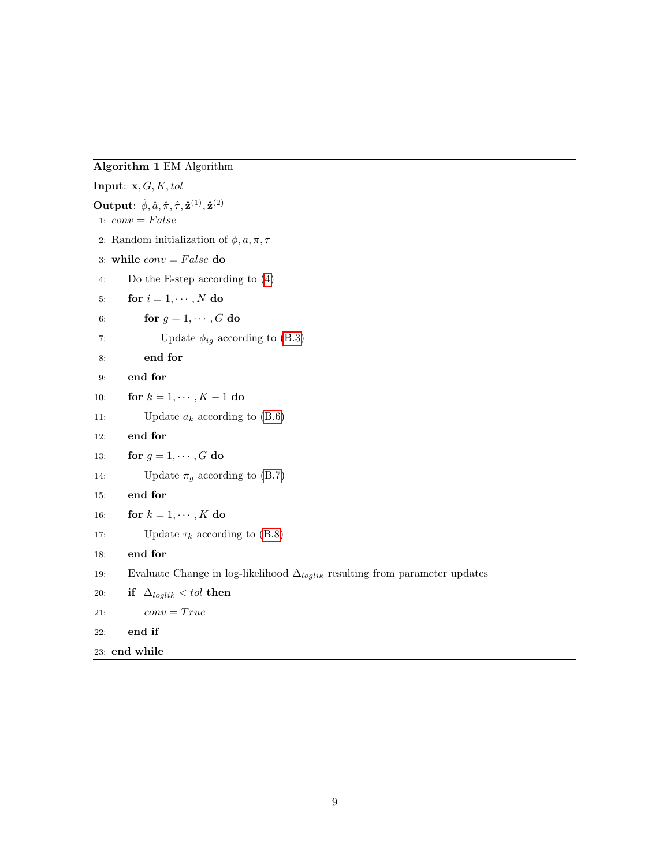# Algorithm 1 EM Algorithm

```
Input: x, G, K, tolOutput: \hat{\phi}, \hat{a}, \hat{\pi}, \hat{\tau}, \hat{\mathbf{z}}^{(1)}, \hat{\mathbf{z}}^{(2)}1: conv = False2: Random initialization of \phi, a, \pi, \tau3: while conv = False do
 4: Do the E-step according to (4)
 5: for i = 1, \cdots, N do
 6: for g = 1, \dots, G do
 7: Update \phi_{ig}(B.3)
 8: end for
 9: end for
10: for k = 1, \dots, K - 1 do
11: Update a_k according to (B.6)12: end for
13: for g = 1, \dots, G do
14: Update \pi_g(B.7)
15: end for
16: for k = 1, \dots, K do
17: Update \tau_k(B.8)
18: end for
19: Evaluate Change in log-likelihood \Delta_{loglik} resulting from parameter updates
20: if \Delta_{loglik} < tol then
21: conv = True22: end if
23: end while
```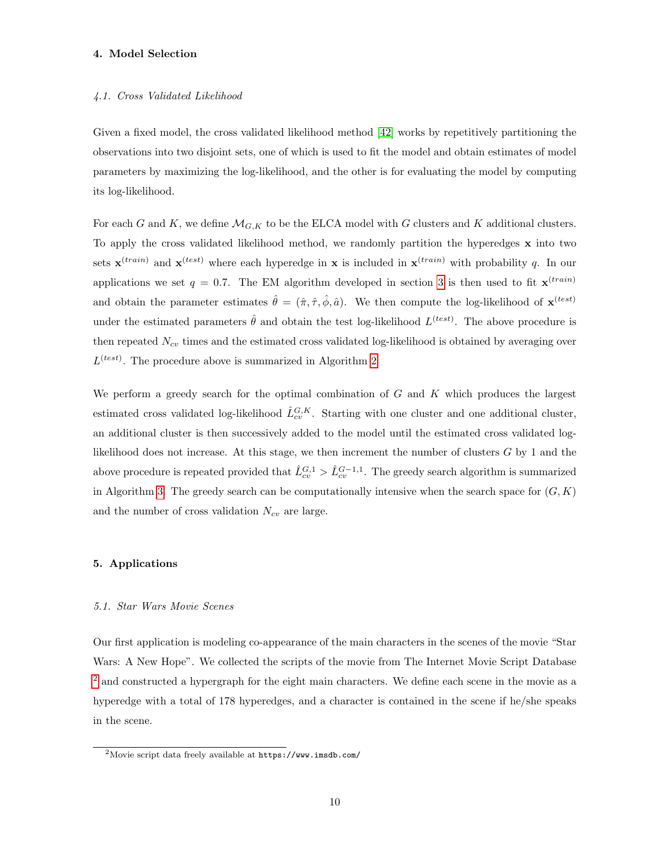## <span id="page-9-1"></span>4. Model Selection

#### 4.1. Cross Validated Likelihood

Given a fixed model, the cross validated likelihood method [\[42\]](#page-20-9) works by repetitively partitioning the observations into two disjoint sets, one of which is used to fit the model and obtain estimates of model parameters by maximizing the log-likelihood, and the other is for evaluating the model by computing its log-likelihood.

For each G and K, we define  $\mathcal{M}_{G,K}$  to be the ELCA model with G clusters and K additional clusters. To apply the cross validated likelihood method, we randomly partition the hyperedges  $x$  into two sets  $\mathbf{x}^{(train)}$  and  $\mathbf{x}^{(test)}$  where each hyperedge in x is included in  $\mathbf{x}^{(train)}$  with probability q. In our applications we set  $q = 0.7$ . The EM algorithm developed in section [3](#page-7-2) is then used to fit  $\mathbf{x}^{(train)}$ and obtain the parameter estimates  $\hat{\theta} = (\hat{\pi}, \hat{\tau}, \hat{\phi}, \hat{a})$ . We then compute the log-likelihood of  $\mathbf{x}^{(test)}$ under the estimated parameters  $\hat{\theta}$  and obtain the test log-likelihood  $L^{(test)}$ . The above procedure is then repeated  $N_{cv}$  times and the estimated cross validated log-likelihood is obtained by averaging over  $L^{(test)}$ . The procedure above is summarized in Algorithm [2.](#page-10-0)

We perform a greedy search for the optimal combination of  $G$  and  $K$  which produces the largest estimated cross validated log-likelihood  $\hat{L}_{cv}^{G,K}$ . Starting with one cluster and one additional cluster, an additional cluster is then successively added to the model until the estimated cross validated loglikelihood does not increase. At this stage, we then increment the number of clusters G by 1 and the above procedure is repeated provided that  $\hat{L}_{cv}^{G,1} > \hat{L}_{cv}^{G-1,1}$ . The greedy search algorithm is summarized in Algorithm [3.](#page-11-0) The greedy search can be computationally intensive when the search space for  $(G, K)$ and the number of cross validation  $N_{cv}$  are large.

#### 5. Applications

#### 5.1. Star Wars Movie Scenes

Our first application is modeling co-appearance of the main characters in the scenes of the movie "Star Wars: A New Hope". We collected the scripts of the movie from The Internet Movie Script Database [2](#page-9-0) and constructed a hypergraph for the eight main characters. We define each scene in the movie as a hyperedge with a total of 178 hyperedges, and a character is contained in the scene if he/she speaks in the scene.

<span id="page-9-0"></span><sup>2</sup>Movie script data freely available at https://www.imsdb.com/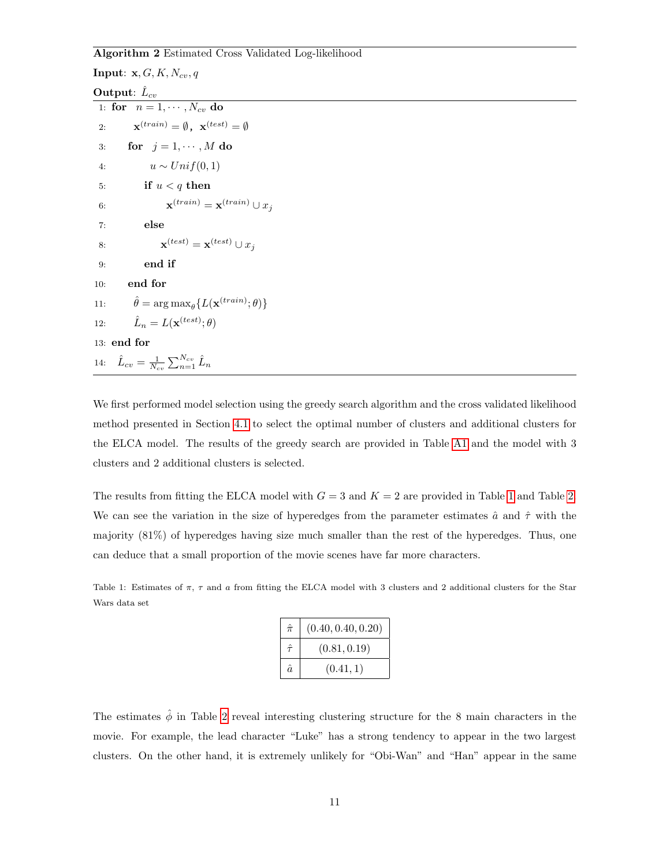Algorithm 2 Estimated Cross Validated Log-likelihood

<span id="page-10-0"></span>Input:  $x, G, K, N_{cv}, q$ Output:  $\hat{L}_{cv}$ 1: for  $n = 1, \cdots, N_{cv}$  do 2:  $\mathbf{x}^{(train)} = \emptyset$ ,  $\mathbf{x}^{(test)} = \emptyset$ 3: for  $j = 1, \dots, M$  do 4:  $u \sim Unif(0,1)$ 5: if  $u < q$  then 6:  $\mathbf{x}^{(train)} = \mathbf{x}^{(train)} \cup x_j$ 7: else 8:  $\mathbf{x}^{(test)} = \mathbf{x}^{(test)} \cup x_j$ 9: end if 10: end for 11:  $\hat{\theta} = \arg \max_{\theta} \{ L(\mathbf{x}^{(train)}; \theta) \}$ 12:  $\hat{L}_n = L(\mathbf{x}^{(test)}; \theta)$ 13: end for 14:  $\hat{L}_{cv} = \frac{1}{N_{cv}} \sum_{n=1}^{N_{cv}} \hat{L}_n$ 

We first performed model selection using the greedy search algorithm and the cross validated likelihood method presented in Section [4.1](#page-9-1) to select the optimal number of clusters and additional clusters for the ELCA model. The results of the greedy search are provided in Table [A1](#page-10-1) and the model with 3 clusters and 2 additional clusters is selected.

The results from fitting the ELCA model with  $G = 3$  and  $K = 2$  are provided in Table [1](#page-10-1) and Table [2.](#page-12-0) We can see the variation in the size of hyperedges from the parameter estimates  $\hat{a}$  and  $\hat{\tau}$  with the majority (81%) of hyperedges having size much smaller than the rest of the hyperedges. Thus, one can deduce that a small proportion of the movie scenes have far more characters.

<span id="page-10-1"></span>Table 1: Estimates of  $\pi$ ,  $\tau$  and  $\alpha$  from fitting the ELCA model with 3 clusters and 2 additional clusters for the Star Wars data set

| $\hat{\pi}$ | (0.40, 0.40, 0.20) |
|-------------|--------------------|
|             | (0.81, 0.19)       |
| â.          | (0.41, 1)          |

The estimates  $\hat{\phi}$  in Table [2](#page-12-0) reveal interesting clustering structure for the 8 main characters in the movie. For example, the lead character "Luke" has a strong tendency to appear in the two largest clusters. On the other hand, it is extremely unlikely for "Obi-Wan" and "Han" appear in the same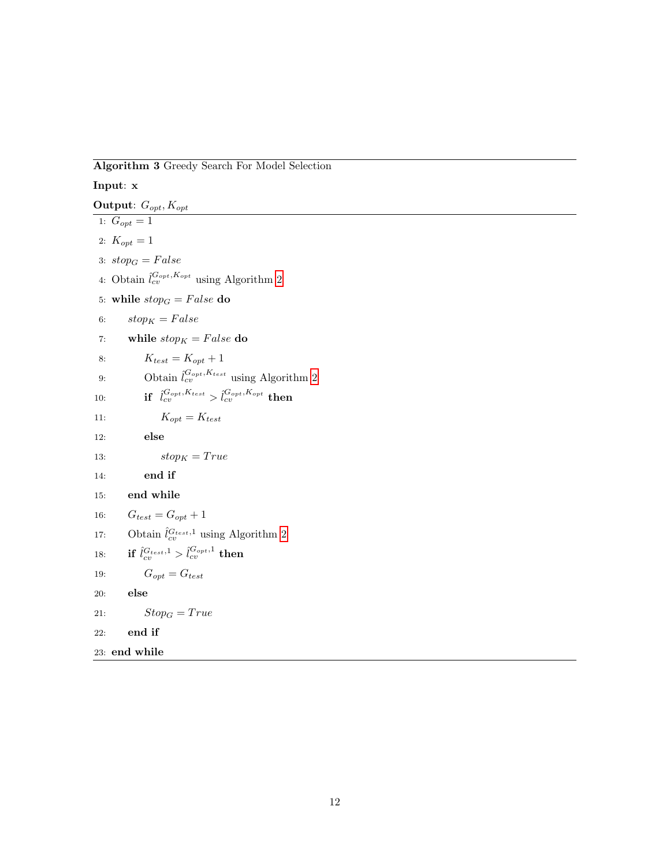# Algorithm 3 Greedy Search For Model Selection

# Input: x

<span id="page-11-0"></span>**Output:**  $G_{opt}$ ,  $K_{opt}$ 1:  $G_{opt} = 1$ 2:  $K_{opt} = 1$ 3:  $stop_G = False$ 4: Obtain  $\hat{l}_{cv}^{G_{opt}, K_{opt}}$  using Algorithm [2](#page-10-0) 5: while  $stop_G = False$  do 6:  $stop_K = False$ 7: while  $stop_K = False$  do 8:  $K_{test} = K_{opt} + 1$ 9: Obtain  $\hat{l}_{cv}^{G_{opt}, K_{test}}$  using Algorithm [2](#page-10-0) 10:  $\qquad \qquad \textbf{if} \ \ \hat{l}_{cv}^{G_{opt},K_{test}} > \hat{l}_{cv}^{G_{opt},K_{opt}} \ \textbf{then}$ 11:  $K_{opt} = K_{test}$ 12: else 13:  $stop_K = True$ 14: end if 15: end while 16:  $G_{test} = G_{opt} + 1$ 17: Obtain  $\hat{l}_{cv}^{G_{test},1}$  using Algorithm [2](#page-10-0) 18: if  $\hat{l}_{cv}^{G_{test},1} > \hat{l}_{cv}^{G_{opt},1}$  then 19:  $G_{opt} = G_{test}$ 20: else 21:  $Stop_G = True$ 22: end if 23: end while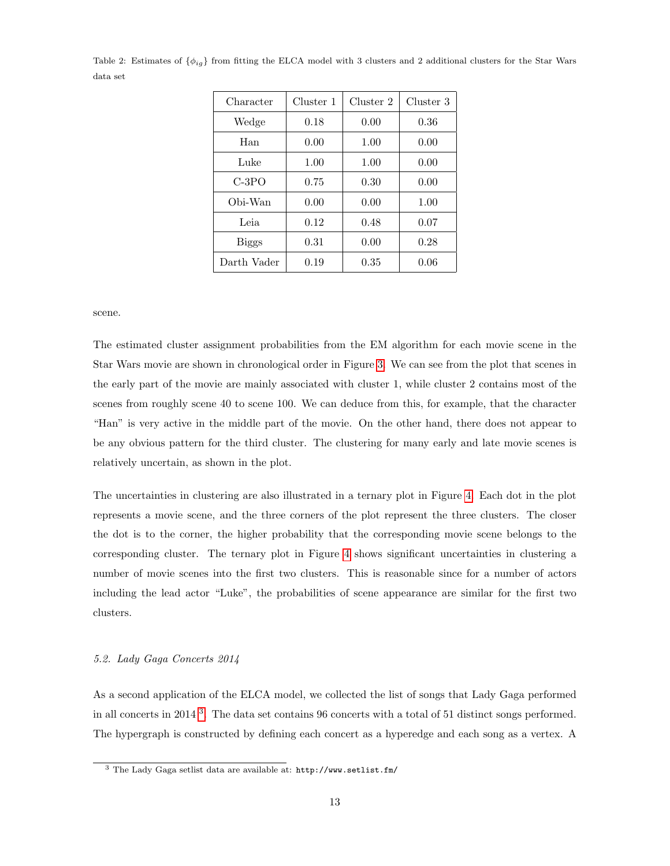| Character    | Cluster 1 | $Cl$ uster $2$ | Cluster 3 |  |  |  |
|--------------|-----------|----------------|-----------|--|--|--|
| Wedge        | 0.18      | 0.00           | 0.36      |  |  |  |
| Han          | 0.00      | 1.00           | 0.00      |  |  |  |
| Luke         | 1.00      | 1.00           | 0.00      |  |  |  |
| $C-3PO$      | 0.75      | 0.30           | 0.00      |  |  |  |
| Obi-Wan      | 0.00      | 0.00           | 1.00      |  |  |  |
| Leia         | 0.12      | 0.48           | 0.07      |  |  |  |
| <b>Biggs</b> | 0.31      | 0.00           | 0.28      |  |  |  |
| Darth Vader  | 0.19      | 0.35           | 0.06      |  |  |  |

<span id="page-12-0"></span>Table 2: Estimates of  $\{\phi_{iq}\}\$ from fitting the ELCA model with 3 clusters and 2 additional clusters for the Star Wars data set

scene.

The estimated cluster assignment probabilities from the EM algorithm for each movie scene in the Star Wars movie are shown in chronological order in Figure [3.](#page-13-0) We can see from the plot that scenes in the early part of the movie are mainly associated with cluster 1, while cluster 2 contains most of the scenes from roughly scene 40 to scene 100. We can deduce from this, for example, that the character "Han" is very active in the middle part of the movie. On the other hand, there does not appear to be any obvious pattern for the third cluster. The clustering for many early and late movie scenes is relatively uncertain, as shown in the plot.

The uncertainties in clustering are also illustrated in a ternary plot in Figure [4.](#page-13-1) Each dot in the plot represents a movie scene, and the three corners of the plot represent the three clusters. The closer the dot is to the corner, the higher probability that the corresponding movie scene belongs to the corresponding cluster. The ternary plot in Figure [4](#page-13-1) shows significant uncertainties in clustering a number of movie scenes into the first two clusters. This is reasonable since for a number of actors including the lead actor "Luke", the probabilities of scene appearance are similar for the first two clusters.

# 5.2. Lady Gaga Concerts 2014

As a second application of the ELCA model, we collected the list of songs that Lady Gaga performed in all concerts in 2014 [3](#page-12-1) . The data set contains 96 concerts with a total of 51 distinct songs performed. The hypergraph is constructed by defining each concert as a hyperedge and each song as a vertex. A

<span id="page-12-1"></span> $^3$  The Lady Gaga setlist data are available at:  ${\tt http://www.setlist.fm/}$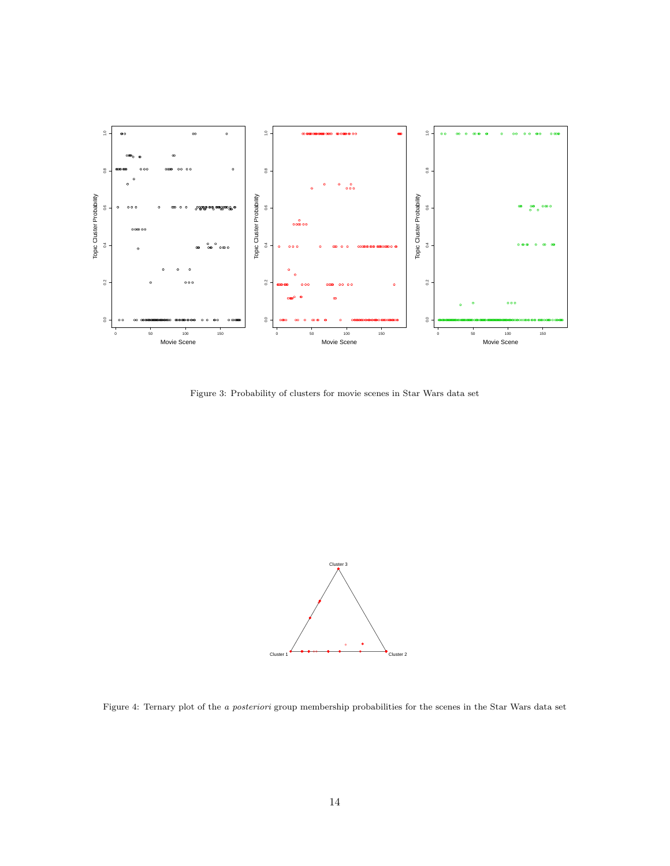

<span id="page-13-0"></span>Figure 3: Probability of clusters for movie scenes in Star Wars data set

<span id="page-13-1"></span>

Figure 4: Ternary plot of the a posteriori group membership probabilities for the scenes in the Star Wars data set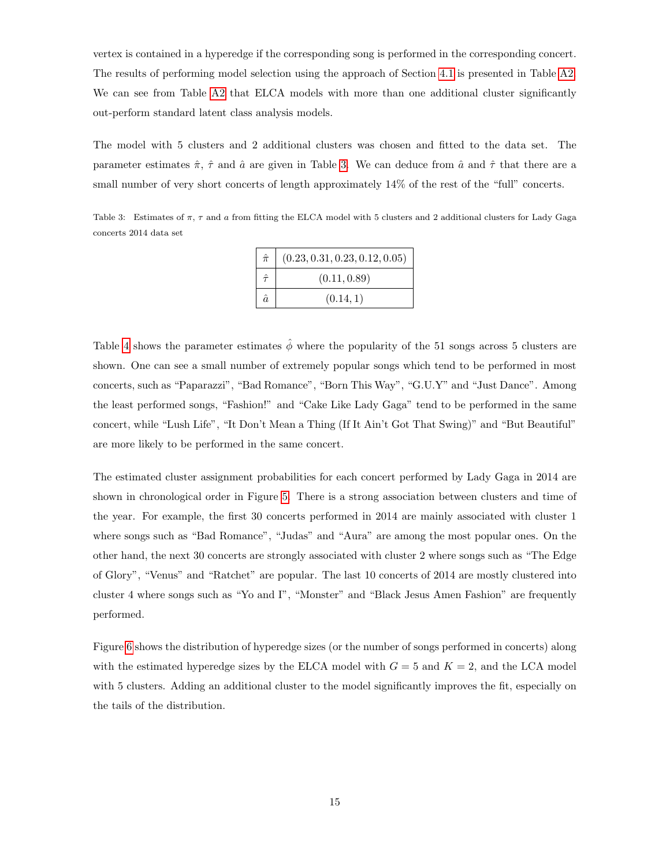vertex is contained in a hyperedge if the corresponding song is performed in the corresponding concert. The results of performing model selection using the approach of Section [4.1](#page-9-1) is presented in Table [A2.](#page-12-0) We can see from Table [A2](#page-12-0) that ELCA models with more than one additional cluster significantly out-perform standard latent class analysis models.

The model with 5 clusters and 2 additional clusters was chosen and fitted to the data set. The parameter estimates  $\hat{\pi}$ ,  $\hat{\tau}$  and  $\hat{a}$  are given in Table [3.](#page-14-0) We can deduce from  $\hat{a}$  and  $\hat{\tau}$  that there are a small number of very short concerts of length approximately 14% of the rest of the "full" concerts.

<span id="page-14-0"></span>Table 3: Estimates of π, τ and a from fitting the ELCA model with 5 clusters and 2 additional clusters for Lady Gaga concerts 2014 data set

| $\hat{\pi}$ | (0.23, 0.31, 0.23, 0.12, 0.05) |
|-------------|--------------------------------|
|             | (0.11, 0.89)                   |
| â.          | (0.14, 1)                      |

Table [4](#page-15-0) shows the parameter estimates  $\hat{\phi}$  where the popularity of the 51 songs across 5 clusters are shown. One can see a small number of extremely popular songs which tend to be performed in most concerts, such as "Paparazzi", "Bad Romance", "Born This Way", "G.U.Y" and "Just Dance". Among the least performed songs, "Fashion!" and "Cake Like Lady Gaga" tend to be performed in the same concert, while "Lush Life", "It Don't Mean a Thing (If It Ain't Got That Swing)" and "But Beautiful" are more likely to be performed in the same concert.

The estimated cluster assignment probabilities for each concert performed by Lady Gaga in 2014 are shown in chronological order in Figure [5.](#page-16-0) There is a strong association between clusters and time of the year. For example, the first 30 concerts performed in 2014 are mainly associated with cluster 1 where songs such as "Bad Romance", "Judas" and "Aura" are among the most popular ones. On the other hand, the next 30 concerts are strongly associated with cluster 2 where songs such as "The Edge of Glory", "Venus" and "Ratchet" are popular. The last 10 concerts of 2014 are mostly clustered into cluster 4 where songs such as "Yo and I", "Monster" and "Black Jesus Amen Fashion" are frequently performed.

Figure [6](#page-16-1) shows the distribution of hyperedge sizes (or the number of songs performed in concerts) along with the estimated hyperedge sizes by the ELCA model with  $G = 5$  and  $K = 2$ , and the LCA model with 5 clusters. Adding an additional cluster to the model significantly improves the fit, especially on the tails of the distribution.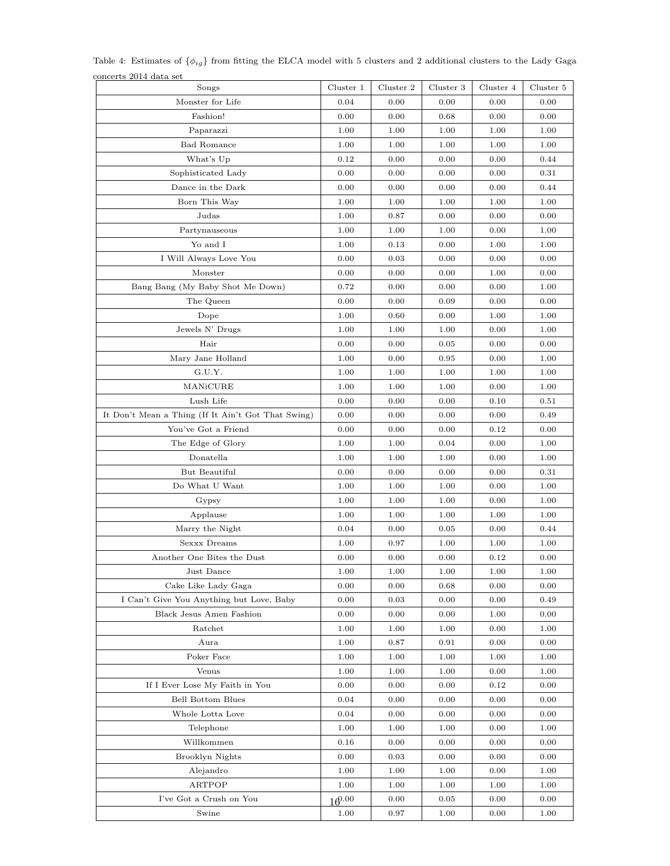| concerts 2014 data set                             |                        |           |           |           |           |
|----------------------------------------------------|------------------------|-----------|-----------|-----------|-----------|
| Songs                                              | Cluster 1              | Cluster 2 | Cluster 3 | Cluster 4 | Cluster 5 |
| Monster for Life                                   | 0.04                   | 0.00      | 0.00      | 0.00      | 0.00      |
| Fashion!                                           | 0.00                   | 0.00      | 0.68      | 0.00      | 0.00      |
| Paparazzi                                          | 1.00                   | 1.00      | 1.00      | 1.00      | 1.00      |
| <b>Bad Romance</b>                                 | 1.00                   | 1.00      | 1.00      | 1.00      | 1.00      |
| What's Up                                          | 0.12                   | 0.00      | 0.00      | 0.00      | 0.44      |
| Sophisticated Lady                                 | 0.00                   | 0.00      | 0.00      | 0.00      | 0.31      |
| Dance in the Dark                                  | 0.00                   | 0.00      | 0.00      | 0.00      | 0.44      |
| Born This Way                                      | 1.00                   | 1.00      | 1.00      | 1.00      | 1.00      |
| Judas                                              | 1.00                   | 0.87      | 0.00      | 0.00      | 0.00      |
| Partynauseous                                      | 1.00                   | 1.00      | 1.00      | 0.00      | 1.00      |
| Yo and I                                           | 1.00                   | 0.13      | 0.00      | 1.00      | 1.00      |
| I Will Always Love You                             | 0.00                   | 0.03      | 0.00      | 0.00      | 0.00      |
| Monster                                            | 0.00                   | 0.00      | 0.00      | 1.00      | 0.00      |
| Bang Bang (My Baby Shot Me Down)                   | 0.72                   | 0.00      | 0.00      | 0.00      | 1.00      |
| The Queen                                          | 0.00                   | 0.00      | 0.09      | 0.00      | 0.00      |
| Dope                                               | 1.00                   | 0.60      | 0.00      | 1.00      | 1.00      |
| Jewels N' Drugs                                    | 1.00                   | 1.00      | 1.00      | 0.00      | 1.00      |
| Hair                                               | 0.00                   | 0.00      | 0.05      | 0.00      | 0.00      |
| Mary Jane Holland                                  | 1.00                   | 0.00      | 0.95      | 0.00      | 1.00      |
| G.U.Y.                                             | 1.00                   | 1.00      | 1.00      | 1.00      | 1.00      |
| MANiCURE                                           | 1.00                   | 1.00      | 1.00      | 0.00      | 1.00      |
| Lush Life                                          | 0.00                   | 0.00      | 0.00      | 0.10      | 0.51      |
| It Don't Mean a Thing (If It Ain't Got That Swing) | 0.00                   | 0.00      | 0.00      | 0.00      | 0.49      |
| You've Got a Friend                                | 0.00                   | 0.00      | 0.00      | 0.12      | 0.00      |
| The Edge of Glory                                  | 1.00                   | 1.00      | 0.04      | 0.00      | 1.00      |
| Donatella                                          | 1.00                   | 1.00      | 1.00      | 0.00      | 1.00      |
| But Beautiful                                      | 0.00                   | 0.00      | 0.00      | 0.00      | 0.31      |
| Do What U Want                                     | 1.00                   | 1.00      | 1.00      | 0.00      | 1.00      |
| Gypsy                                              | 1.00                   | 1.00      | 1.00      | 0.00      | 1.00      |
| Applause                                           | 1.00                   | 1.00      | 1.00      | 1.00      | 1.00      |
| Marry the Night                                    | 0.04                   | 0.00      | 0.05      | 0.00      | 0.44      |
| Sexxx Dreams                                       | 1.00                   | 0.97      | 1.00      | 1.00      | 1.00      |
| Another One Bites the Dust                         | 0.00                   | 0.00      | 0.00      | 0.12      | 0.00      |
| Just Dance                                         | 1.00                   | 1.00      | 1.00      | 1.00      | 1.00      |
| Cake Like Lady Gaga                                | 0.00                   | 0.00      | 0.68      | 0.00      | 0.00      |
| I Can't Give You Anything but Love, Baby           | 0.00                   | 0.03      | 0.00      | 0.00      | 0.49      |
| Black Jesus Amen Fashion                           | 0.00                   | 0.00      | 0.00      | 1.00      | 0.00      |
| Ratchet                                            | 1.00                   | 1.00      | 1.00      | 0.00      | 1.00      |
| Aura                                               | 1.00                   | 0.87      | 0.91      | 0.00      | 0.00      |
| Poker Face                                         | 1.00                   | 1.00      | 1.00      | 1.00      | 1.00      |
| Venus                                              | 1.00                   | 1.00      | 1.00      | 0.00      | 1.00      |
| If I Ever Lose My Faith in You                     | 0.00                   | 0.00      | 0.00      | 0.12      | 0.00      |
| <b>Bell Bottom Blues</b>                           | 0.04                   | 0.00      | 0.00      | 0.00      | 0.00      |
| Whole Lotta Love                                   | 0.04                   | 0.00      | 0.00      | 0.00      | 0.00      |
| Telephone                                          | 1.00                   | 1.00      | 1.00      | 0.00      | 1.00      |
| Willkommen                                         | 0.16                   | 0.00      | 0.00      | 0.00      | 0.00      |
| Brooklyn Nights                                    | 0.00                   | 0.03      | 0.00      | 0.00      | 0.00      |
| Alejandro                                          | 1.00                   | 1.00      | 1.00      | 0.00      | 1.00      |
| ARTPOP                                             | 1.00                   | 1.00      | 1.00      | 1.00      | 1.00      |
| I've Got a Crush on You                            | $\theta$ <sup>00</sup> | 0.00      | 0.05      | 0.00      | 0.00      |
| Swine                                              | 1.00                   | 0.97      | 1.00      | 0.00      | 1.00      |
|                                                    |                        |           |           |           |           |

<span id="page-15-0"></span>

|                         |  |  |  |  |  | Table 4: Estimates of $\{\phi_{ia}\}\$ from fitting the ELCA model with 5 clusters and 2 additional clusters to the Lady Gaga |  |  |
|-------------------------|--|--|--|--|--|-------------------------------------------------------------------------------------------------------------------------------|--|--|
| concerte 9014 data eet. |  |  |  |  |  |                                                                                                                               |  |  |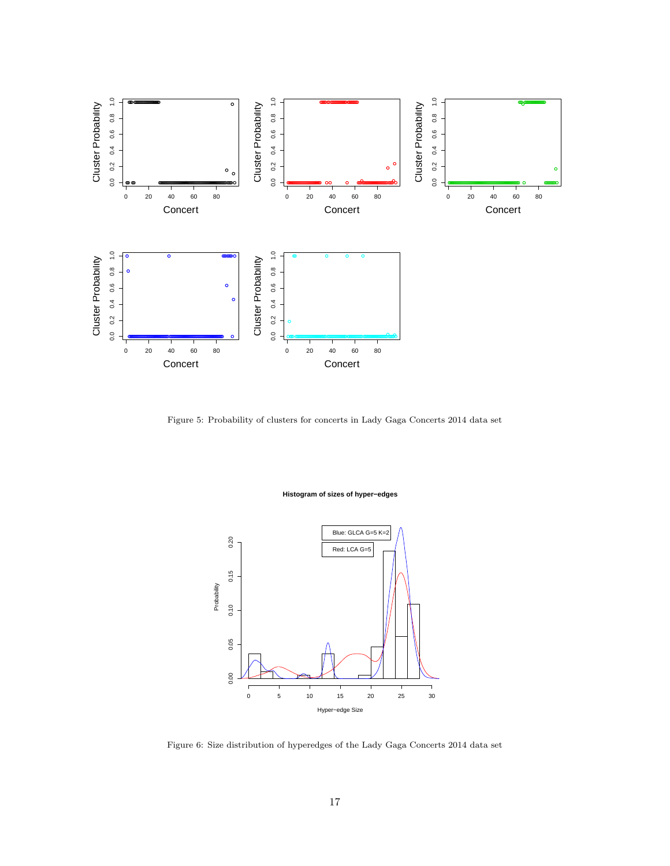

Figure 5: Probability of clusters for concerts in Lady Gaga Concerts 2014 data set

<span id="page-16-1"></span><span id="page-16-0"></span>**Histogram of sizes of hyper−edges**



Figure 6: Size distribution of hyperedges of the Lady Gaga Concerts 2014 data set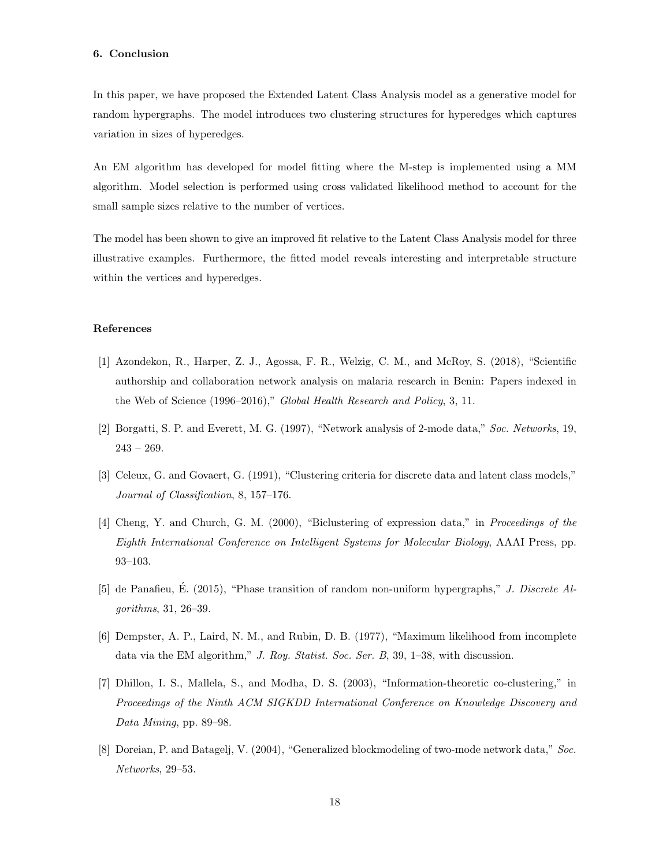#### 6. Conclusion

In this paper, we have proposed the Extended Latent Class Analysis model as a generative model for random hypergraphs. The model introduces two clustering structures for hyperedges which captures variation in sizes of hyperedges.

An EM algorithm has developed for model fitting where the M-step is implemented using a MM algorithm. Model selection is performed using cross validated likelihood method to account for the small sample sizes relative to the number of vertices.

The model has been shown to give an improved fit relative to the Latent Class Analysis model for three illustrative examples. Furthermore, the fitted model reveals interesting and interpretable structure within the vertices and hyperedges.

#### References

- <span id="page-17-0"></span>[1] Azondekon, R., Harper, Z. J., Agossa, F. R., Welzig, C. M., and McRoy, S. (2018), "Scientific authorship and collaboration network analysis on malaria research in Benin: Papers indexed in the Web of Science (1996–2016)," Global Health Research and Policy, 3, 11.
- <span id="page-17-2"></span>[2] Borgatti, S. P. and Everett, M. G. (1997), "Network analysis of 2-mode data," Soc. Networks, 19,  $243 - 269.$
- <span id="page-17-4"></span>[3] Celeux, G. and Govaert, G. (1991), "Clustering criteria for discrete data and latent class models," Journal of Classification, 8, 157–176.
- <span id="page-17-7"></span>[4] Cheng, Y. and Church, G. M. (2000), "Biclustering of expression data," in Proceedings of the Eighth International Conference on Intelligent Systems for Molecular Biology, AAAI Press, pp. 93–103.
- <span id="page-17-1"></span>[5] de Panafieu, É. (2015), "Phase transition of random non-uniform hypergraphs," *J. Discrete Al*gorithms, 31, 26–39.
- <span id="page-17-5"></span>[6] Dempster, A. P., Laird, N. M., and Rubin, D. B. (1977), "Maximum likelihood from incomplete data via the EM algorithm," J. Roy. Statist. Soc. Ser. B, 39, 1-38, with discussion.
- <span id="page-17-6"></span>[7] Dhillon, I. S., Mallela, S., and Modha, D. S. (2003), "Information-theoretic co-clustering," in Proceedings of the Ninth ACM SIGKDD International Conference on Knowledge Discovery and Data Mining, pp. 89–98.
- <span id="page-17-3"></span>[8] Doreian, P. and Batagelj, V. (2004), "Generalized blockmodeling of two-mode network data," Soc. Networks, 29–53.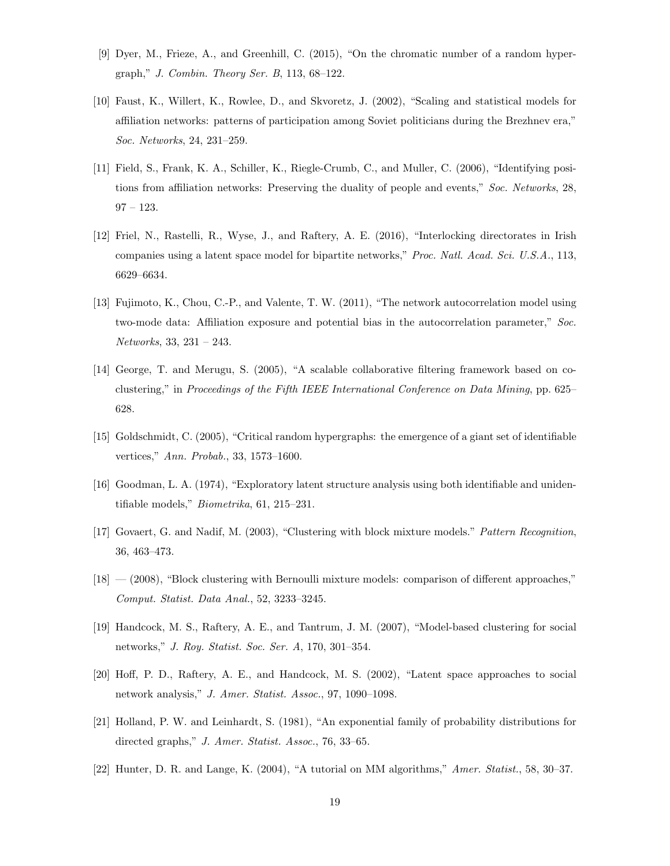- <span id="page-18-3"></span>[9] Dyer, M., Frieze, A., and Greenhill, C. (2015), "On the chromatic number of a random hypergraph," J. Combin. Theory Ser. B, 113, 68–122.
- <span id="page-18-5"></span>[10] Faust, K., Willert, K., Rowlee, D., and Skvoretz, J. (2002), "Scaling and statistical models for affiliation networks: patterns of participation among Soviet politicians during the Brezhnev era," Soc. Networks, 24, 231–259.
- <span id="page-18-7"></span>[11] Field, S., Frank, K. A., Schiller, K., Riegle-Crumb, C., and Muller, C. (2006), "Identifying positions from affiliation networks: Preserving the duality of people and events," Soc. Networks, 28, 97 – 123.
- <span id="page-18-6"></span>[12] Friel, N., Rastelli, R., Wyse, J., and Raftery, A. E. (2016), "Interlocking directorates in Irish companies using a latent space model for bipartite networks," Proc. Natl. Acad. Sci. U.S.A., 113, 6629–6634.
- <span id="page-18-8"></span>[13] Fujimoto, K., Chou, C.-P., and Valente, T. W. (2011), "The network autocorrelation model using two-mode data: Affiliation exposure and potential bias in the autocorrelation parameter," Soc. Networks, 33, 231 – 243.
- <span id="page-18-12"></span>[14] George, T. and Merugu, S. (2005), "A scalable collaborative filtering framework based on coclustering," in Proceedings of the Fifth IEEE International Conference on Data Mining, pp. 625– 628.
- <span id="page-18-2"></span>[15] Goldschmidt, C. (2005), "Critical random hypergraphs: the emergence of a giant set of identifiable vertices," Ann. Probab., 33, 1573–1600.
- <span id="page-18-9"></span>[16] Goodman, L. A. (1974), "Exploratory latent structure analysis using both identifiable and unidentifiable models," Biometrika, 61, 215–231.
- <span id="page-18-10"></span>[17] Govaert, G. and Nadif, M. (2003), "Clustering with block mixture models." Pattern Recognition, 36, 463–473.
- <span id="page-18-11"></span>[18] — (2008), "Block clustering with Bernoulli mixture models: comparison of different approaches," Comput. Statist. Data Anal., 52, 3233–3245.
- <span id="page-18-1"></span>[19] Handcock, M. S., Raftery, A. E., and Tantrum, J. M. (2007), "Model-based clustering for social networks," J. Roy. Statist. Soc. Ser. A, 170, 301–354.
- <span id="page-18-0"></span>[20] Hoff, P. D., Raftery, A. E., and Handcock, M. S. (2002), "Latent space approaches to social network analysis," J. Amer. Statist. Assoc., 97, 1090–1098.
- <span id="page-18-4"></span>[21] Holland, P. W. and Leinhardt, S. (1981), "An exponential family of probability distributions for directed graphs," J. Amer. Statist. Assoc., 76, 33–65.
- <span id="page-18-13"></span>[22] Hunter, D. R. and Lange, K. (2004), "A tutorial on MM algorithms," Amer. Statist., 58, 30–37.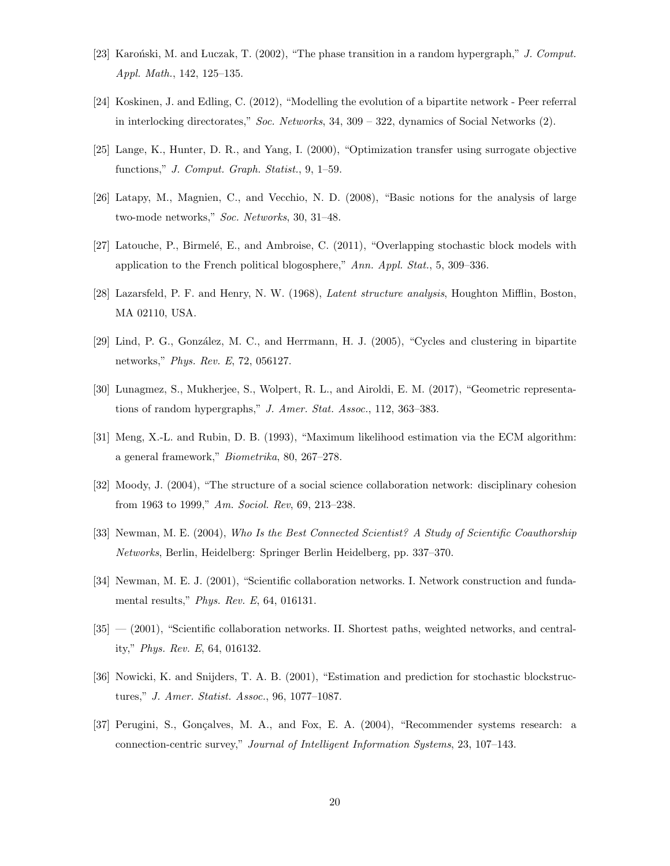- <span id="page-19-6"></span>[23] Karonski, M. and Luczak, T. (2002), "The phase transition in a random hypergraph," J. Comput. Appl. Math., 142, 125–135.
- <span id="page-19-9"></span>[24] Koskinen, J. and Edling, C. (2012), "Modelling the evolution of a bipartite network - Peer referral in interlocking directorates," Soc. Networks,  $34, 309 - 322$ , dynamics of Social Networks  $(2)$ .
- <span id="page-19-14"></span>[25] Lange, K., Hunter, D. R., and Yang, I. (2000), "Optimization transfer using surrogate objective functions," J. Comput. Graph. Statist., 9, 1–59.
- <span id="page-19-11"></span>[26] Latapy, M., Magnien, C., and Vecchio, N. D. (2008), "Basic notions for the analysis of large two-mode networks," Soc. Networks, 30, 31–48.
- <span id="page-19-1"></span>[27] Latouche, P., Birmelé, E., and Ambroise, C. (2011), "Overlapping stochastic block models with application to the French political blogosphere," Ann. Appl. Stat., 5, 309–336.
- <span id="page-19-12"></span>[28] Lazarsfeld, P. F. and Henry, N. W. (1968), Latent structure analysis, Houghton Mifflin, Boston, MA 02110, USA.
- <span id="page-19-10"></span>[29] Lind, P. G., González, M. C., and Herrmann, H. J. (2005), "Cycles and clustering in bipartite networks," Phys. Rev. E, 72, 056127.
- <span id="page-19-7"></span>[30] Lunagmez, S., Mukherjee, S., Wolpert, R. L., and Airoldi, E. M. (2017), "Geometric representations of random hypergraphs," J. Amer. Stat. Assoc., 112, 363-383.
- <span id="page-19-13"></span>[31] Meng, X.-L. and Rubin, D. B. (1993), "Maximum likelihood estimation via the ECM algorithm: a general framework," Biometrika, 80, 267–278.
- <span id="page-19-5"></span>[32] Moody, J. (2004), "The structure of a social science collaboration network: disciplinary cohesion from 1963 to 1999," Am. Sociol. Rev, 69, 213–238.
- <span id="page-19-4"></span>[33] Newman, M. E. (2004), Who Is the Best Connected Scientist? A Study of Scientific Coauthorship Networks, Berlin, Heidelberg: Springer Berlin Heidelberg, pp. 337–370.
- <span id="page-19-2"></span>[34] Newman, M. E. J. (2001), "Scientific collaboration networks. I. Network construction and fundamental results," Phys. Rev. E, 64, 016131.
- <span id="page-19-3"></span>[35] — (2001), "Scientific collaboration networks. II. Shortest paths, weighted networks, and centrality," Phys. Rev. E, 64, 016132.
- <span id="page-19-0"></span>[36] Nowicki, K. and Snijders, T. A. B. (2001), "Estimation and prediction for stochastic blockstructures," J. Amer. Statist. Assoc., 96, 1077–1087.
- <span id="page-19-8"></span>[37] Perugini, S., Gonçalves, M. A., and Fox, E. A. (2004), "Recommender systems research: a connection-centric survey," Journal of Intelligent Information Systems, 23, 107–143.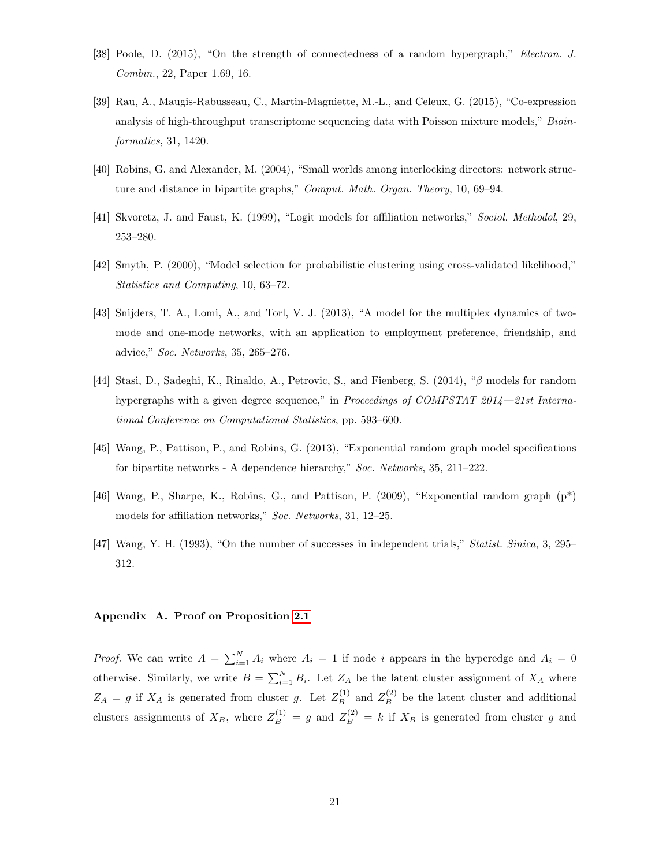- <span id="page-20-0"></span>[38] Poole, D. (2015), "On the strength of connectedness of a random hypergraph," Electron. J. Combin., 22, Paper 1.69, 16.
- <span id="page-20-8"></span>[39] Rau, A., Maugis-Rabusseau, C., Martin-Magniette, M.-L., and Celeux, G. (2015), "Co-expression analysis of high-throughput transcriptome sequencing data with Poisson mixture models," Bioinformatics, 31, 1420.
- <span id="page-20-2"></span>[40] Robins, G. and Alexander, M. (2004), "Small worlds among interlocking directors: network structure and distance in bipartite graphs," Comput. Math. Organ. Theory, 10, 69–94.
- <span id="page-20-5"></span>[41] Skvoretz, J. and Faust, K. (1999), "Logit models for affiliation networks," Sociol. Methodol, 29, 253–280.
- <span id="page-20-9"></span>[42] Smyth, P. (2000), "Model selection for probabilistic clustering using cross-validated likelihood," Statistics and Computing, 10, 63–72.
- <span id="page-20-4"></span>[43] Snijders, T. A., Lomi, A., and Torl, V. J. (2013), "A model for the multiplex dynamics of twomode and one-mode networks, with an application to employment preference, friendship, and advice," Soc. Networks, 35, 265–276.
- <span id="page-20-1"></span>[44] Stasi, D., Sadeghi, K., Rinaldo, A., Petrovic, S., and Fienberg, S. (2014), "β models for random hypergraphs with a given degree sequence," in *Proceedings of COMPSTAT 2014—21st Interna*tional Conference on Computational Statistics, pp. 593–600.
- <span id="page-20-6"></span>[45] Wang, P., Pattison, P., and Robins, G. (2013), "Exponential random graph model specifications for bipartite networks - A dependence hierarchy," Soc. Networks, 35, 211-222.
- <span id="page-20-3"></span>[46] Wang, P., Sharpe, K., Robins, G., and Pattison, P. (2009), "Exponential random graph (p\*) models for affiliation networks," Soc. Networks, 31, 12-25.
- <span id="page-20-7"></span>[47] Wang, Y. H. (1993), "On the number of successes in independent trials," Statist. Sinica, 3, 295– 312.

## Appendix A. Proof on Proposition [2.1](#page-5-0)

*Proof.* We can write  $A = \sum_{i=1}^{N} A_i$  where  $A_i = 1$  if node i appears in the hyperedge and  $A_i = 0$ otherwise. Similarly, we write  $B = \sum_{i=1}^{N} B_i$ . Let  $Z_A$  be the latent cluster assignment of  $X_A$  where  $Z_A = g$  if  $X_A$  is generated from cluster g. Let  $Z_B^{(1)}$  and  $Z_B^{(2)}$  be the latent cluster and additional clusters assignments of  $X_B$ , where  $Z_B^{(1)} = g$  and  $Z_B^{(2)} = k$  if  $X_B$  is generated from cluster g and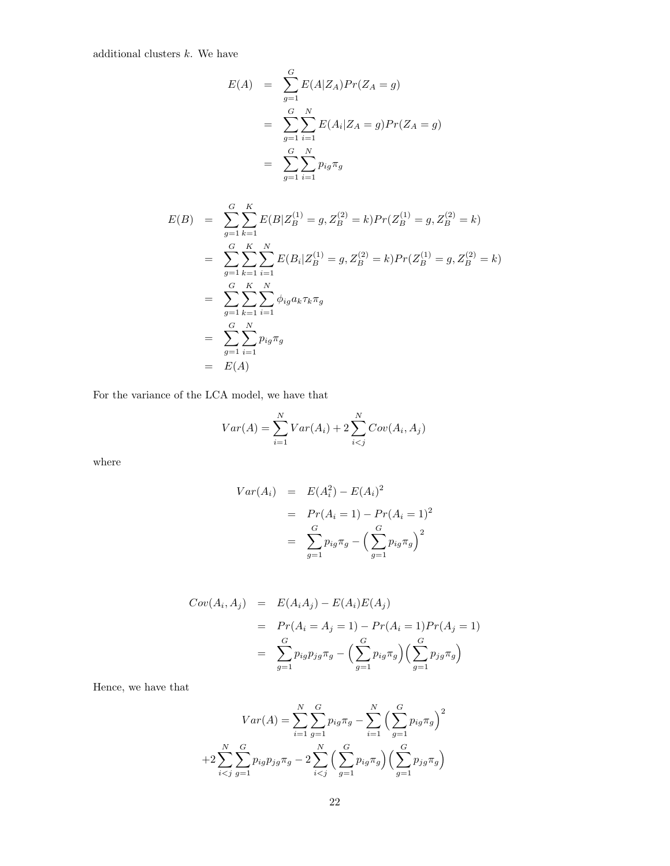additional clusters  $k$ . We have

$$
E(A) = \sum_{g=1}^{G} E(A|Z_A)Pr(Z_A = g)
$$
  
= 
$$
\sum_{g=1}^{G} \sum_{i=1}^{N} E(A_i|Z_A = g)Pr(Z_A = g)
$$
  
= 
$$
\sum_{g=1}^{G} \sum_{i=1}^{N} p_{ig}\pi_g
$$

$$
E(B) = \sum_{g=1}^{G} \sum_{k=1}^{K} E(B|Z_B^{(1)} = g, Z_B^{(2)} = k) Pr(Z_B^{(1)} = g, Z_B^{(2)} = k)
$$
  
\n
$$
= \sum_{g=1}^{G} \sum_{k=1}^{K} \sum_{i=1}^{N} E(B_i|Z_B^{(1)} = g, Z_B^{(2)} = k) Pr(Z_B^{(1)} = g, Z_B^{(2)} = k)
$$
  
\n
$$
= \sum_{g=1}^{G} \sum_{k=1}^{K} \sum_{i=1}^{N} \phi_{ig} a_k \tau_k \pi_g
$$
  
\n
$$
= \sum_{g=1}^{G} \sum_{i=1}^{N} p_{ig} \tau_g
$$
  
\n
$$
= E(A)
$$

For the variance of the LCA model, we have that

$$
Var(A) = \sum_{i=1}^{N} Var(A_i) + 2 \sum_{i < j}^{N} Cov(A_i, A_j)
$$

where

$$
Var(A_i) = E(A_i^2) - E(A_i)^2
$$
  
=  $Pr(A_i = 1) - Pr(A_i = 1)^2$   
=  $\sum_{g=1}^{G} p_{ig} \pi_g - \left(\sum_{g=1}^{G} p_{ig} \pi_g\right)^2$ 

$$
Cov(A_i, A_j) = E(A_iA_j) - E(A_i)E(A_j)
$$
  
=  $Pr(A_i = A_j = 1) - Pr(A_i = 1)Pr(A_j = 1)$   
=  $\sum_{g=1}^{G} p_{ig}p_{jg}\pi_g - \left(\sum_{g=1}^{G} p_{ig}\pi_g\right)\left(\sum_{g=1}^{G} p_{jg}\pi_g\right)$ 

Hence, we have that

$$
Var(A) = \sum_{i=1}^{N} \sum_{g=1}^{G} p_{ig} \pi_g - \sum_{i=1}^{N} \left( \sum_{g=1}^{G} p_{ig} \pi_g \right)^2
$$

$$
+ 2 \sum_{i < j}^{N} \sum_{g=1}^{G} p_{ig} p_{jg} \pi_g - 2 \sum_{i < j}^{N} \left( \sum_{g=1}^{G} p_{ig} \pi_g \right) \left( \sum_{g=1}^{G} p_{jg} \pi_g \right)
$$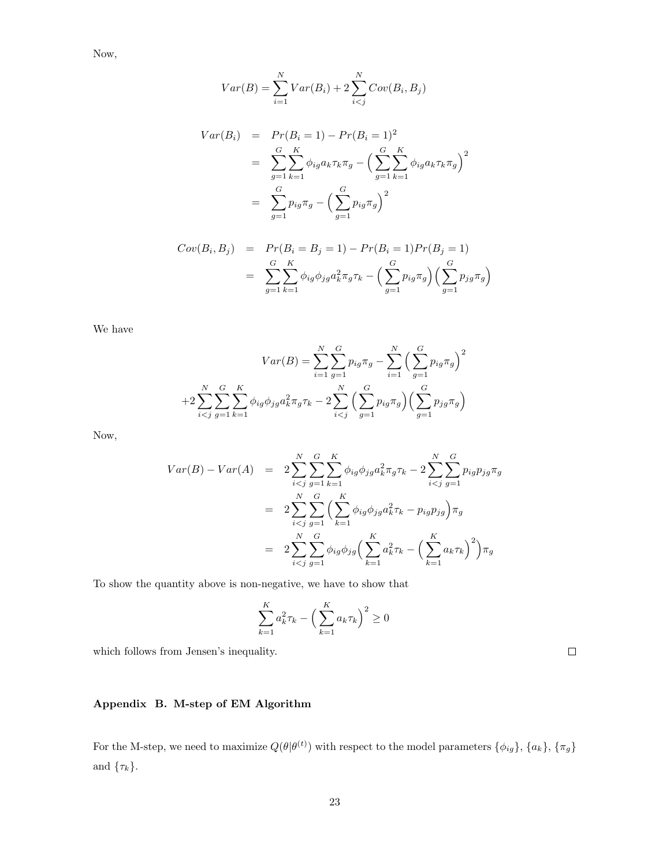Now,

$$
Var(B) = \sum_{i=1}^{N} Var(B_i) + 2 \sum_{i < j}^{N} Cov(B_i, B_j)
$$

$$
Var(B_i) = Pr(B_i = 1) - Pr(B_i = 1)^2
$$
  
= 
$$
\sum_{g=1}^{G} \sum_{k=1}^{K} \phi_{ig} a_k \tau_k \pi_g - \left(\sum_{g=1}^{G} \sum_{k=1}^{K} \phi_{ig} a_k \tau_k \pi_g\right)^2
$$
  
= 
$$
\sum_{g=1}^{G} p_{ig} \pi_g - \left(\sum_{g=1}^{G} p_{ig} \pi_g\right)^2
$$

$$
Cov(B_i, B_j) = Pr(B_i = B_j = 1) - Pr(B_i = 1)Pr(B_j = 1)
$$
  
= 
$$
\sum_{g=1}^{G} \sum_{k=1}^{K} \phi_{ig} \phi_{jg} a_k^2 \pi_g \tau_k - \left(\sum_{g=1}^{G} p_{ig} \pi_g\right) \left(\sum_{g=1}^{G} p_{jg} \pi_g\right)
$$

We have

$$
Var(B) = \sum_{i=1}^{N} \sum_{g=1}^{G} p_{ig} \pi_g - \sum_{i=1}^{N} \left( \sum_{g=1}^{G} p_{ig} \pi_g \right)^2
$$

$$
+ 2 \sum_{i < j}^{N} \sum_{g=1}^{G} \sum_{k=1}^{K} \phi_{ig} \phi_{jg} a_k^2 \pi_g \pi_k - 2 \sum_{i < j}^{N} \left( \sum_{g=1}^{G} p_{ig} \pi_g \right) \left( \sum_{g=1}^{G} p_{jg} \pi_g \right)
$$

Now,

$$
Var(B) - Var(A) = 2 \sum_{i < j}^{N} \sum_{g=1}^{G} \sum_{k=1}^{K} \phi_{ig} \phi_{jg} a_k^2 \pi_g \tau_k - 2 \sum_{i < j}^{N} \sum_{g=1}^{G} p_{ig} p_{jg} \pi_g
$$
  

$$
= 2 \sum_{i < j}^{N} \sum_{g=1}^{G} \left( \sum_{k=1}^{K} \phi_{ig} \phi_{jg} a_k^2 \tau_k - p_{ig} p_{jg} \right) \pi_g
$$
  

$$
= 2 \sum_{i < j}^{N} \sum_{g=1}^{G} \phi_{ig} \phi_{jg} \left( \sum_{k=1}^{K} a_k^2 \tau_k - \left( \sum_{k=1}^{K} a_k \tau_k \right)^2 \right) \pi_g
$$

To show the quantity above is non-negative, we have to show that

$$
\sum_{k=1}^{K} a_k^2 \tau_k - \left(\sum_{k=1}^{K} a_k \tau_k\right)^2 \ge 0
$$

which follows from Jensen's inequality.

 $\Box$ 

# Appendix B. M-step of EM Algorithm

For the M-step, we need to maximize  $Q(\theta|\theta^{(t)})$  with respect to the model parameters  $\{\phi_{ig}\},\{a_k\},\{\pi_g\}$ and  $\{\tau_k\}$ .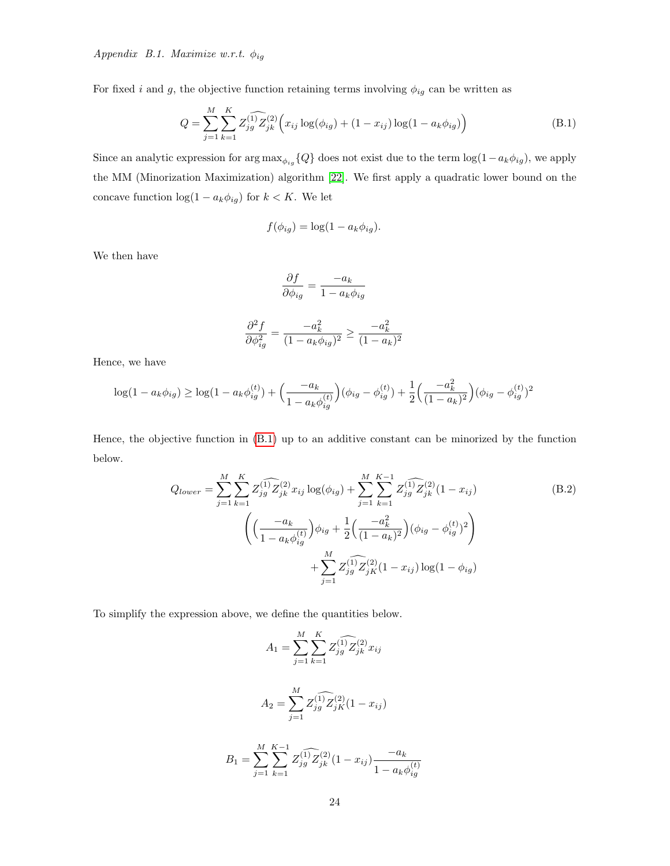Appendix B.1. Maximize w.r.t. φig

For fixed i and g, the objective function retaining terms involving  $\phi_{ig}$  can be written as

<span id="page-23-0"></span>
$$
Q = \sum_{j=1}^{M} \sum_{k=1}^{K} Z_{jg}^{(1)} Z_{jk}^{(2)} (x_{ij} \log(\phi_{ig}) + (1 - x_{ij}) \log(1 - a_k \phi_{ig}))
$$
(B.1)

Since an analytic expression for  $\arg \max_{\phi_{ig}} \{Q\}$  does not exist due to the term  $\log(1-a_k\phi_{ig})$ , we apply the MM (Minorization Maximization) algorithm [\[22\]](#page-18-13). We first apply a quadratic lower bound on the concave function  $\log(1 - a_k \phi_{ig})$  for  $k < K$ . We let

$$
f(\phi_{ig}) = \log(1 - a_k \phi_{ig}).
$$

We then have

$$
\frac{\partial f}{\partial \phi_{ig}} = \frac{-a_k}{1 - a_k \phi_{ig}}
$$

$$
\frac{\partial^2 f}{\partial \phi_{ig}^2} = \frac{-a_k^2}{(1 - a_k \phi_{ig})^2} \ge \frac{-a_k^2}{(1 - a_k)^2}
$$

Hence, we have

$$
\log(1 - a_k \phi_{ig}) \ge \log(1 - a_k \phi_{ig}^{(t)}) + \left(\frac{-a_k}{1 - a_k \phi_{ig}^{(t)}}\right) (\phi_{ig} - \phi_{ig}^{(t)}) + \frac{1}{2} \left(\frac{-a_k^2}{(1 - a_k)^2}\right) (\phi_{ig} - \phi_{ig}^{(t)})^2
$$

Hence, the objective function in [\(B.1\)](#page-23-0) up to an additive constant can be minorized by the function below.

<span id="page-23-1"></span>
$$
Q_{lower} = \sum_{j=1}^{M} \sum_{k=1}^{K} Z_{jg}^{(1)} Z_{jk}^{(2)} x_{ij} \log(\phi_{ig}) + \sum_{j=1}^{M} \sum_{k=1}^{K-1} Z_{jg}^{(1)} Z_{jk}^{(2)} (1 - x_{ij})
$$
(B.2)  

$$
\left( \left( \frac{-a_k}{1 - a_k \phi_{ig}^{(t)}} \right) \phi_{ig} + \frac{1}{2} \left( \frac{-a_k^2}{(1 - a_k)^2} \right) (\phi_{ig} - \phi_{ig}^{(t)})^2 \right)
$$

$$
+ \sum_{j=1}^{M} Z_{jg}^{(1)} Z_{jk}^{(2)} (1 - x_{ij}) \log(1 - \phi_{ig})
$$

To simplify the expression above, we define the quantities below.

$$
A_1 = \sum_{j=1}^{M} \sum_{k=1}^{K} Z_{jg}^{(1)} \widehat{Z}_{jk}^{(2)} x_{ij}
$$

$$
A_2 = \sum_{j=1}^{M} Z_{jg}^{(1)} \widehat{Z}_{jK}^{(2)} (1 - x_{ij})
$$

$$
B_1 = \sum_{j=1}^{M} \sum_{k=1}^{K-1} Z_{jg}^{(1)} \widehat{Z}_{jk}^{(2)} (1 - x_{ij}) \frac{-a_k}{1 - a_k \phi_{ig}^{(t)}}
$$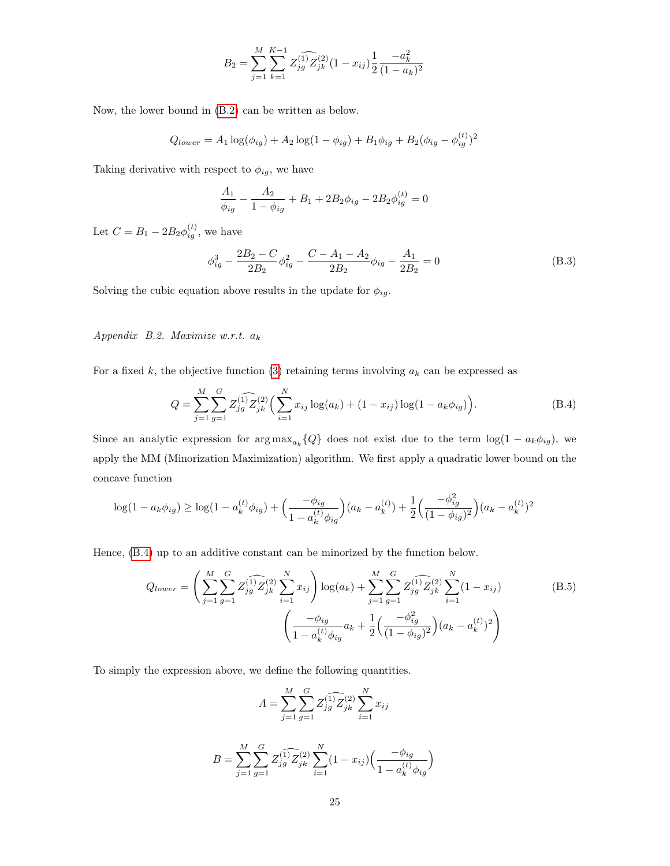$$
B_2 = \sum_{j=1}^{M} \sum_{k=1}^{K-1} Z_{jg}^{(1)} \widehat{Z}_{jk}^{(2)} (1 - x_{ij}) \frac{1}{2} \frac{-a_k^2}{(1 - a_k)^2}
$$

Now, the lower bound in [\(B.2\)](#page-23-1) can be written as below.

$$
Q_{lower} = A_1 \log(\phi_{ig}) + A_2 \log(1 - \phi_{ig}) + B_1 \phi_{ig} + B_2 (\phi_{ig} - \phi_{ig}^{(t)})^2
$$

Taking derivative with respect to  $\phi_{ig}$ , we have

$$
\frac{A_1}{\phi_{ig}} - \frac{A_2}{1 - \phi_{ig}} + B_1 + 2B_2\phi_{ig} - 2B_2\phi_{ig}^{(t)} = 0
$$

Let  $C = B_1 - 2B_2 \phi_{ig}^{(t)}$ , we have

<span id="page-24-0"></span>
$$
\phi_{ig}^3 - \frac{2B_2 - C}{2B_2} \phi_{ig}^2 - \frac{C - A_1 - A_2}{2B_2} \phi_{ig} - \frac{A_1}{2B_2} = 0
$$
 (B.3)

Solving the cubic equation above results in the update for  $\phi_{ig}$ .

# Appendix B.2. Maximize w.r.t.  $a_k$

For a fixed k, the objective function [\(3\)](#page-7-0) retaining terms involving  $a_k$  can be expressed as

<span id="page-24-1"></span>
$$
Q = \sum_{j=1}^{M} \sum_{g=1}^{G} Z_{jg}^{(1)} Z_{jk}^{(2)} \left( \sum_{i=1}^{N} x_{ij} \log(a_k) + (1 - x_{ij}) \log(1 - a_k \phi_{ig}) \right).
$$
 (B.4)

Since an analytic expression for  $\arg \max_{a_k} \{Q\}$  does not exist due to the term  $\log(1 - a_k \phi_{ig})$ , we apply the MM (Minorization Maximization) algorithm. We first apply a quadratic lower bound on the concave function

$$
\log(1 - a_k \phi_{ig}) \ge \log(1 - a_k^{(t)} \phi_{ig}) + \left(\frac{-\phi_{ig}}{1 - a_k^{(t)} \phi_{ig}}\right)(a_k - a_k^{(t)}) + \frac{1}{2} \left(\frac{-\phi_{ig}^2}{(1 - \phi_{ig})^2}\right)(a_k - a_k^{(t)})^2
$$

Hence, [\(B.4\)](#page-24-1) up to an additive constant can be minorized by the function below.

$$
Q_{lower} = \left(\sum_{j=1}^{M} \sum_{g=1}^{G} Z_{jg}^{(1)} \overline{Z}_{jk}^{(2)} \sum_{i=1}^{N} x_{ij}\right) \log(a_k) + \sum_{j=1}^{M} \sum_{g=1}^{G} Z_{jg}^{(1)} \overline{Z}_{jk}^{(2)} \sum_{i=1}^{N} (1 - x_{ij})
$$
(B.5)  

$$
\left(\frac{-\phi_{ig}}{1 - a_k^{(t)} \phi_{ig}} a_k + \frac{1}{2} \left(\frac{-\phi_{ig}^2}{(1 - \phi_{ig})^2}\right) (a_k - a_k^{(t)})^2\right)
$$

 $\setminus$ 

To simply the expression above, we define the following quantities.

 $\boldsymbol{B}$ 

$$
A = \sum_{j=1}^{M} \sum_{g=1}^{G} Z_{jg}^{(1)} Z_{jk}^{(2)} \sum_{i=1}^{N} x_{ij}
$$

$$
= \sum_{j=1}^{M} \sum_{g=1}^{G} Z_{jg}^{(1)} Z_{jk}^{(2)} \sum_{i=1}^{N} (1 - x_{ij}) \Big( \frac{-\phi_{ig}}{1 - a_k^{(t)} \phi_{ig}}
$$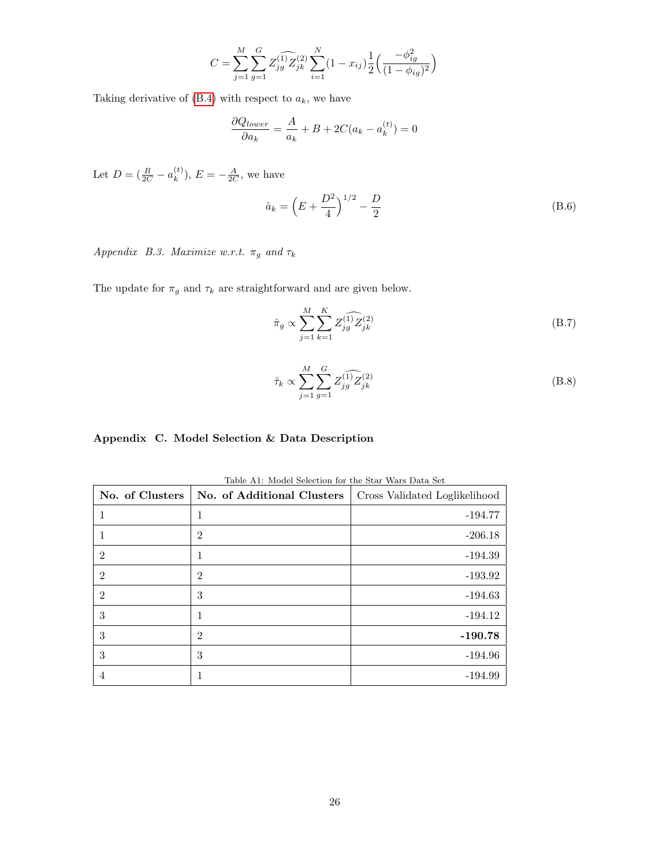$$
C = \sum_{j=1}^{M} \sum_{g=1}^{G} Z_{jg}^{(1)} Z_{jk}^{(2)} \sum_{i=1}^{N} (1 - x_{ij}) \frac{1}{2} \left( \frac{-\phi_{ig}^2}{(1 - \phi_{ig})^2} \right)
$$

Taking derivative of  $(B.4)$  with respect to  $a_k$ , we have

$$
\frac{\partial Q_{lower}}{\partial a_k} = \frac{A}{a_k} + B + 2C(a_k - a_k^{(t)}) = 0
$$

Let  $D = (\frac{B}{2C} - a_k^{(t)})$  $k^{(t)}$ ,  $E = -\frac{A}{2C}$ , we have

<span id="page-25-0"></span>
$$
\hat{a}_k = \left(E + \frac{D^2}{4}\right)^{1/2} - \frac{D}{2}
$$
\n(B.6)

Appendix B.3. Maximize w.r.t.  $\pi_g$  and  $\tau_k$ 

The update for  $\pi_g$  and  $\tau_k$  are straightforward and are given below.

<span id="page-25-1"></span>
$$
\hat{\pi}_g \propto \sum_{j=1}^{M} \sum_{k=1}^{K} Z_{jg}^{(1)} \widehat{Z}_{jk}^{(2)} \tag{B.7}
$$

<span id="page-25-2"></span>
$$
\hat{\tau}_k \propto \sum_{j=1}^{M} \sum_{g=1}^{G} Z_{jg}^{(1)} \widehat{Z}_{jk}^{(2)} \tag{B.8}
$$

# Appendix C. Model Selection & Data Description

| No. of Clusters             | Table Al. Model Selection for the Star Wars Data Set<br>No. of Additional Clusters | Cross Validated Loglikelihood |
|-----------------------------|------------------------------------------------------------------------------------|-------------------------------|
|                             | 1                                                                                  | $-194.77$                     |
|                             | $\overline{2}$                                                                     | $-206.18$                     |
| $\mathcal{D}_{\mathcal{L}}$ | 1                                                                                  | $-194.39$                     |
| $\overline{2}$              | $\overline{2}$                                                                     | $-193.92$                     |
| $\overline{2}$              | 3                                                                                  | $-194.63$                     |
| 3                           | 1                                                                                  | $-194.12$                     |
| 3                           | $\overline{2}$                                                                     | $-190.78$                     |
| 3                           | 3                                                                                  | $-194.96$                     |
| 4                           |                                                                                    | $-194.99$                     |

|--|